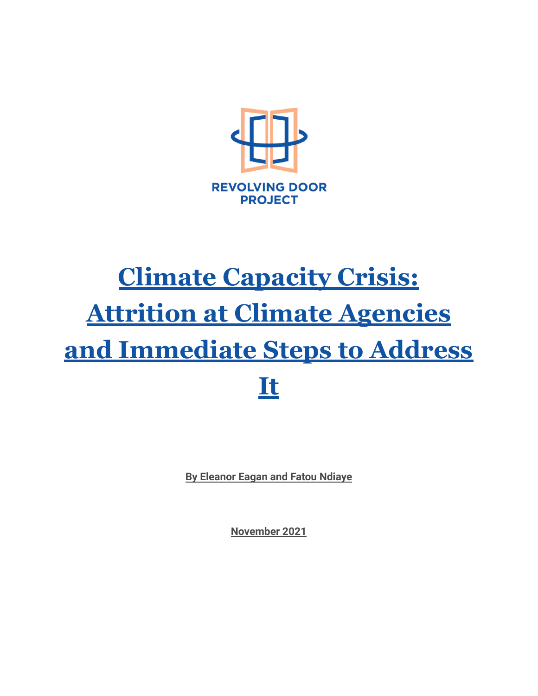

# **Climate Capacity Crisis: Attrition at Climate Agencies and Immediate Steps to Address It**

**By Eleanor Eagan and Fatou Ndiaye**

**November 2021**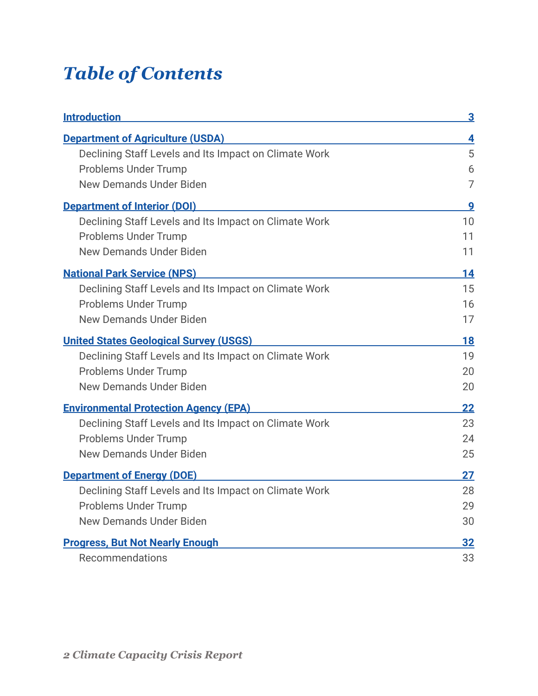# *Table of Contents*

| <b>Introduction</b>                                   | 3  |
|-------------------------------------------------------|----|
| <b>Department of Agriculture (USDA)</b>               | 4  |
| Declining Staff Levels and Its Impact on Climate Work | 5  |
| <b>Problems Under Trump</b>                           | 6  |
| <b>New Demands Under Biden</b>                        | 7  |
| <b>Department of Interior (DOI)</b>                   | 9  |
| Declining Staff Levels and Its Impact on Climate Work | 10 |
| <b>Problems Under Trump</b>                           | 11 |
| <b>New Demands Under Biden</b>                        | 11 |
| <b>National Park Service (NPS)</b>                    | 14 |
| Declining Staff Levels and Its Impact on Climate Work | 15 |
| <b>Problems Under Trump</b>                           | 16 |
| <b>New Demands Under Biden</b>                        | 17 |
| <b>United States Geological Survey (USGS)</b>         | 18 |
| Declining Staff Levels and Its Impact on Climate Work | 19 |
| <b>Problems Under Trump</b>                           | 20 |
| <b>New Demands Under Biden</b>                        | 20 |
| <b>Environmental Protection Agency (EPA)</b>          | 22 |
| Declining Staff Levels and Its Impact on Climate Work | 23 |
| <b>Problems Under Trump</b>                           | 24 |
| <b>New Demands Under Biden</b>                        | 25 |
| <b>Department of Energy (DOE)</b>                     | 27 |
| Declining Staff Levels and Its Impact on Climate Work | 28 |
| <b>Problems Under Trump</b>                           | 29 |
| <b>New Demands Under Biden</b>                        | 30 |
| <b>Progress, But Not Nearly Enough</b>                | 32 |
| Recommendations                                       | 33 |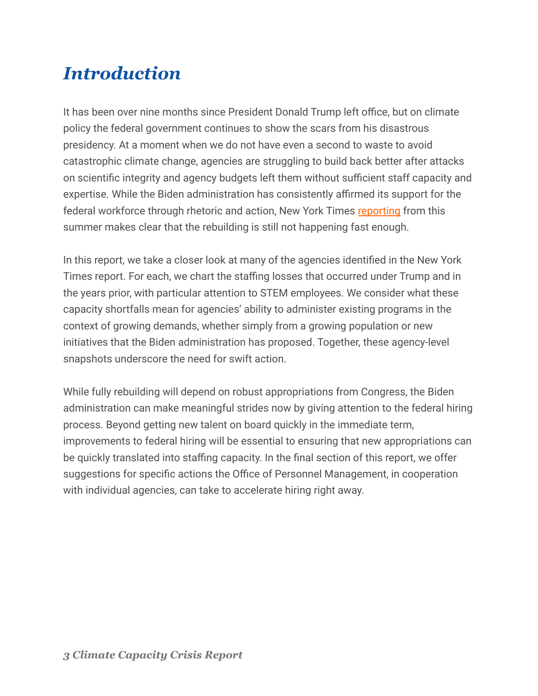## <span id="page-2-0"></span>*Introduction*

It has been over nine months since President Donald Trump left office, but on climate policy the federal government continues to show the scars from his disastrous presidency. At a moment when we do not have even a second to waste to avoid catastrophic climate change, agencies are struggling to build back better after attacks on scientific integrity and agency budgets left them without sufficient staff capacity and expertise. While the Biden administration has consistently affirmed its support for the federal workforce through rhetoric and action, New York Times [reporting](https://www.nytimes.com/2021/08/01/climate/biden-scientists-shortage-climate.html) from this summer makes clear that the rebuilding is still not happening fast enough.

In this report, we take a closer look at many of the agencies identified in the New York Times report. For each, we chart the staffing losses that occurred under Trump and in the years prior, with particular attention to STEM employees. We consider what these capacity shortfalls mean for agencies' ability to administer existing programs in the context of growing demands, whether simply from a growing population or new initiatives that the Biden administration has proposed. Together, these agency-level snapshots underscore the need for swift action.

While fully rebuilding will depend on robust appropriations from Congress, the Biden administration can make meaningful strides now by giving attention to the federal hiring process. Beyond getting new talent on board quickly in the immediate term, improvements to federal hiring will be essential to ensuring that new appropriations can be quickly translated into staffing capacity. In the final section of this report, we offer suggestions for specific actions the Office of Personnel Management, in cooperation with individual agencies, can take to accelerate hiring right away.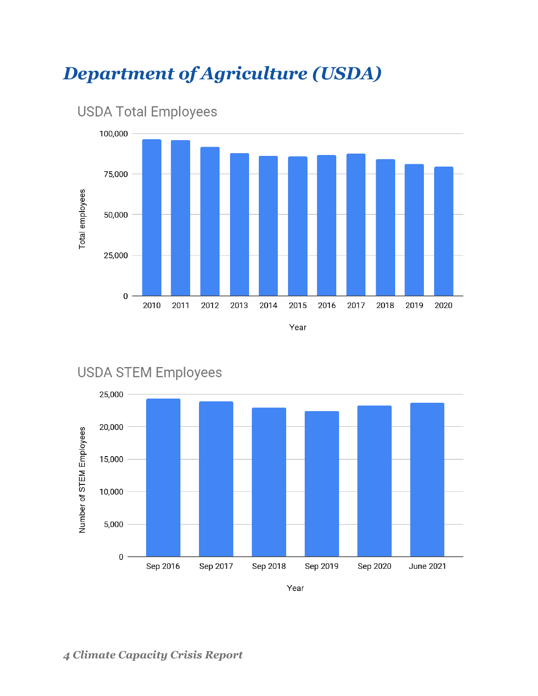## <span id="page-3-0"></span>*Department of Agriculture (USDA)*





### **USDA STEM Employees**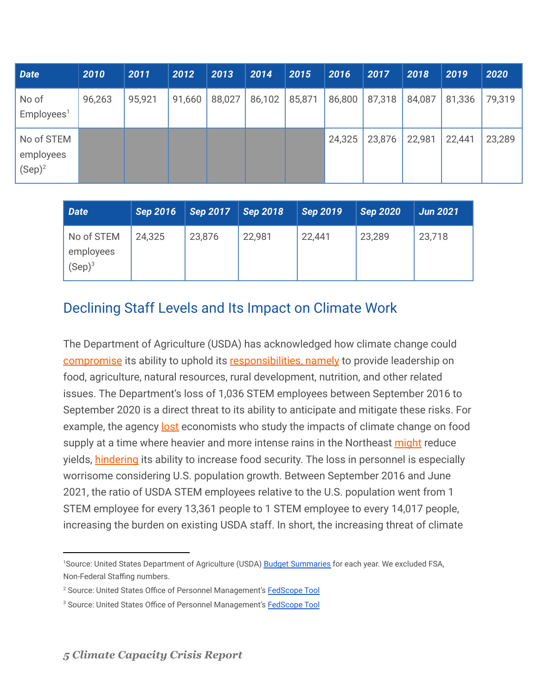| Date                                 | 2010   | 2011   | 2012   | 2013   | 2014   | 2015   | 2016   | 2017   | 2018   | 2019   | 2020   |
|--------------------------------------|--------|--------|--------|--------|--------|--------|--------|--------|--------|--------|--------|
| No of<br>Employees <sup>1</sup>      | 96,263 | 95,921 | 91,660 | 88,027 | 86,102 | 85,871 | 86,800 | 87,318 | 84,087 | 81,336 | 79,319 |
| No of STEM<br>employees<br>$(Sep)^2$ |        |        |        |        |        |        | 24,325 | 23,876 | 22,981 | 22,441 | 23,289 |

| <b>Date</b>                          | <b>Sep 2016</b> | <b>Sep 2017</b> | <b>Sep 2018</b> | $\sqrt{\text{Sep }2019}$ | <b>Sep 2020</b> | <b>Jun 2021</b> |
|--------------------------------------|-----------------|-----------------|-----------------|--------------------------|-----------------|-----------------|
| No of STEM<br>employees<br>$(Sep)^3$ | 24,325          | 23,876          | 22,981          | 22,441                   | 23,289          | 23,718          |

#### <span id="page-4-0"></span>Declining Staff Levels and Its Impact on Climate Work

The Department of Agriculture (USDA) has acknowledged how climate change could [compromise](https://www.usda.gov/sites/default/files/documents/USDA_Climate_Change_Adaptation_Plan_FULL.pdf) its ability to uphold its [responsibilities,](https://www.usda.gov/our-agency/about-usda) namely to provide leadership on food, agriculture, natural resources, rural development, nutrition, and other related issues. The Department's loss of 1,036 STEM employees between September 2016 to September 2020 is a direct threat to its ability to anticipate and mitigate these risks. For example, the agency [lost](https://www.nytimes.com/2021/08/01/climate/biden-scientists-shortage-climate.html) economists who study the impacts of climate change on food supply at a time where heavier and more intense rains in the Northeast [might](https://www.usda.gov/topics/climate-solutions) reduce yields, [hindering](https://www.usda.gov/sites/default/files/documents/USDA_Climate_Change_Adaptation_Plan_FULL.pdf) its ability to increase food security. The loss in personnel is especially worrisome considering U.S. population growth. Between September 2016 and June 2021, the ratio of USDA STEM employees relative to the U.S. population went from 1 STEM employee for every 13,361 people to 1 STEM employee to every 14,017 people, increasing the burden on existing USDA staff. In short, the increasing threat of climate

<sup>1</sup>Source: United States Department of Agriculture (USDA) [Budget Summaries](https://www.usda.gov/obpa/budget-summary) for each year. We excluded FSA, Non-Federal Staffing numbers.

<sup>&</sup>lt;sup>2</sup> Source: United States Office of Personnel Management's **[FedScope Tool](https://www.fedscope.opm.gov/ibmcognos/bi/v1/disp?b_action=powerPlayService&m_encoding=UTF-8&BZ=1AAABpu3eKwh42o1OwW6CQBD9mR3Ug2Z2EAsHDiwLkYOgwqWnhuJqmsJiFjz4983CwfbW9zKZycx7L_OUxaasinOSyXAYe6MyuQSiL19yLgN3J4X~thXoCY8LN8DAE37i7tItEK0c602ic7w~RtU_BEqbXo9Kj0DptW8vyoAnYIu67hS4cnGsm_~6poaPpLu3~bNTelyAJ4HS_3z5K3_pgLAySl_AcPmuarMe_7XtK2t3ZBlv4iLPk7jKijyPDkn4D6sjTuEVkXFE5BwZY8g8ZITMkrHopnTzBEIga47aFjA49INNjB~GzNmnR21GZQADBuQDuQikONAnUDAv_GvBJgC5Vv4LfOI0zQ9NNb8x4wcrtG_w)** 

<sup>&</sup>lt;sup>3</sup> Source: United States Office of Personnel Management's **[FedScope Tool](https://www.fedscope.opm.gov/ibmcognos/bi/v1/disp?b_action=powerPlayService&m_encoding=UTF-8&BZ=1AAABpu3eKwh42o1OwW6CQBD9mR3Ug2Z2EAsHDiwLkYOgwqWnhuJqmsJiFjz4983CwfbW9zKZycx7L_OUxaasinOSyXAYe6MyuQSiL19yLgN3J4X~thXoCY8LN8DAE37i7tItEK0c602ic7w~RtU_BEqbXo9Kj0DptW8vyoAnYIu67hS4cnGsm_~6poaPpLu3~bNTelyAJ4HS_3z5K3_pgLAySl_AcPmuarMe_7XtK2t3ZBlv4iLPk7jKijyPDkn4D6sjTuEVkXFE5BwZY8g8ZITMkrHopnTzBEIga47aFjA49INNjB~GzNmnR21GZQADBuQDuQikONAnUDAv_GvBJgC5Vv4LfOI0zQ9NNb8x4wcrtG_w)**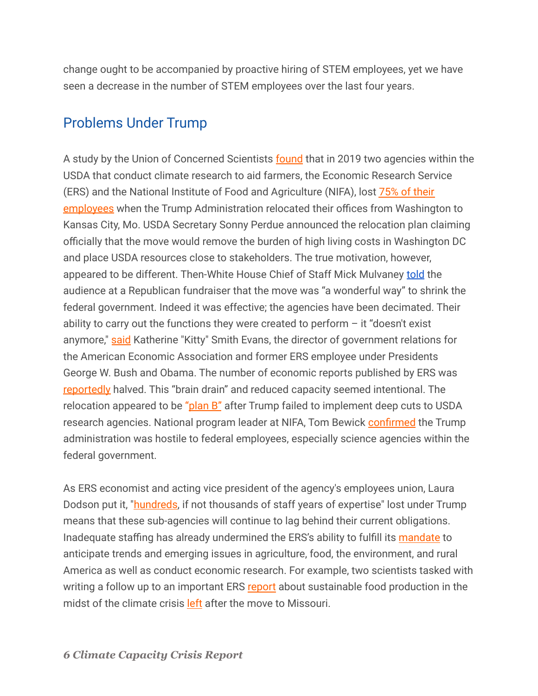change ought to be accompanied by proactive hiring of STEM employees, yet we have seen a decrease in the number of STEM employees over the last four years.

#### <span id="page-5-0"></span>Problems Under Trump

A study by the Union of Concerned Scientists **[found](https://www.ucsusa.org/resources/federal-brain-drain#read-online-content)** that in 2019 two agencies within the USDA that conduct climate research to aid farmers, the Economic Research Service (ERS) and the National Institute of Food and Agriculture (NIFA), lost [75% of their](https://crsreports.congress.gov/product/pdf/IF/IF11527) [employees](https://crsreports.congress.gov/product/pdf/IF/IF11527) when the Trump Administration relocated their offices from Washington to Kansas City, Mo. USDA Secretary Sonny Perdue announced the relocation plan claiming officially that the move would remove the burden of high living costs in Washington DC and place USDA resources close to stakeholders. The true motivation, however, appeared to be different. Then-White House Chief of Staff Mick Mulvaney [told](https://www.govexec.com/workforce/2019/08/mulvaney-relocating-offices-wonderful-way-shed-federal-employees/158932/) the audience at a Republican fundraiser that the move was "a wonderful way" to shrink the federal government. Indeed it was effective; the agencies have been decimated. Their ability to carry out the functions they were created to perform  $-$  it "doesn't exist anymore," [said](https://www.npr.org/2021/02/02/963207129/usda-research-agencies-decimated-by-forced-move-undoing-the-damage-wont-be-easy) Katherine "Kitty" Smith Evans, the director of government relations for the American Economic Association and former ERS employee under Presidents George W. Bush and Obama. The number of economic reports published by ERS was [reportedly](https://www.npr.org/2021/02/02/963207129/usda-research-agencies-decimated-by-forced-move-undoing-the-damage-wont-be-easy) halved. This "brain drain" and reduced capacity seemed intentional. The relocation appeared to be "[plan B"](https://www.npr.org/2021/02/02/963207129/usda-research-agencies-decimated-by-forced-move-undoing-the-damage-wont-be-easy) after Trump failed to implement deep cuts to USDA research agencies. National program leader at NIFA, Tom Bewick [confirmed](https://www.npr.org/2021/02/02/963207129/usda-research-agencies-decimated-by-forced-move-undoing-the-damage-wont-be-easy) the Trump administration was hostile to federal employees, especially science agencies within the federal government.

As ERS economist and acting vice president of the agency's employees union, Laura Dodson put it, ["hundreds](https://www.npr.org/2021/02/02/963207129/usda-research-agencies-decimated-by-forced-move-undoing-the-damage-wont-be-easy), if not thousands of staff years of expertise" lost under Trump means that these sub-agencies will continue to lag behind their current obligations. Inadequate staffing has already undermined the ERS's ability to fulfill its [mandate](https://www.ers.usda.gov/about-ers/) to anticipate trends and emerging issues in agriculture, food, the environment, and rural America as well as conduct economic research. For example, two scientists tasked with writing a follow up to an important ERS [report](https://www.ers.usda.gov/webdocs/publications/98401/err-273.pdf?v=9043) about sustainable food production in the midst of the climate crisis [left](https://thecounter.org/usda-research-ers-food-policies-exodus-kansas-city-staffing-vacancies/) after the move to Missouri.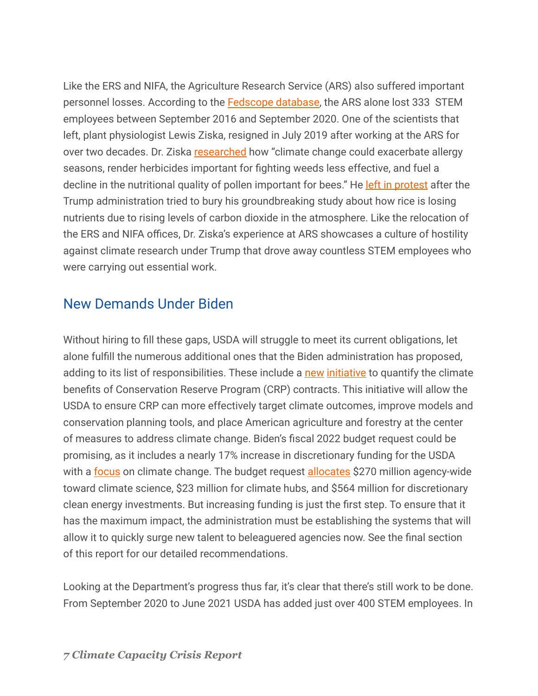Like the ERS and NIFA, the Agriculture Research Service (ARS) also suffered important personnel losses. According to the [Fedscope database,](https://www.fedscope.opm.gov/ibmcognos/bi/v1/disp?b_action=powerPlayService&m_encoding=UTF-8&BZ=1AAABpu3eKwh42o1OwW6CQBD9mR3Ug2Z2EAsHDiwLkYOgwqWnhuJqmsJiFjz4983CwfbW9zKZycx7L_OUxaasinOSyXAYe6MyuQSiL19yLgN3J4X~thXoCY8LN8DAE37i7tItEK0c602ic7w~RtU_BEqbXo9Kj0DptW8vyoAnYIu67hS4cnGsm_~6poaPpLu3~bNTelyAJ4HS_3z5K3_pgLAySl_AcPmuarMe_7XtK2t3ZBlv4iLPk7jKijyPDkn4D6sjTuEVkXFE5BwZY8g8ZITMkrHopnTzBEIga47aFjA49INNjB~GzNmnR21GZQADBuQDuQikONAnUDAv_GvBJgC5Vv4LfOI0zQ9NNb8x4wcrtG_w) the ARS alone lost 333 STEM employees between September 2016 and September 2020. One of the scientists that left, plant physiologist Lewis Ziska, resigned in July 2019 after working at the ARS for over two decades. Dr. Ziska [researched](https://www.politico.com/story/2019/08/05/ziska-usda-climate-agriculture-trump-1445271) how "climate change could exacerbate allergy seasons, render herbicides important for fighting weeds less effective, and fuel a decline in the nutritional quality of pollen important for bees." He [left in protest](https://www.politico.com/story/2019/08/05/ziska-usda-climate-agriculture-trump-1445271) after the Trump administration tried to bury his groundbreaking study about how rice is losing nutrients due to rising levels of carbon dioxide in the atmosphere. Like the relocation of the ERS and NIFA offices, Dr. Ziska's experience at ARS showcases a culture of hostility against climate research under Trump that drove away countless STEM employees who were carrying out essential work.

#### <span id="page-6-0"></span>New Demands Under Biden

Without hiring to fill these gaps, USDA will struggle to meet its current obligations, let alone fulfill the numerous additional ones that the Biden administration has proposed, adding to its list of responsibilities. These include a [new](https://www.fsa.usda.gov/news-room/news-releases/2021/usda-announces-new-initiative-to-quantify-climate-benefits-of-conservation-reserve-program) [initiative](https://madisoncountycourier.com/?p=119075&utm_source=rss&utm_medium=rss&utm_campaign=usda-announces-new-initiative-to-quantify-climate-benefits-of-conservation-reserve-program) to quantify the climate benefits of Conservation Reserve Program (CRP) contracts. This initiative will allow the USDA to ensure CRP can more effectively target climate outcomes, improve models and conservation planning tools, and place American agriculture and forestry at the center of measures to address climate change. Biden's fiscal 2022 budget request could be promising, as it includes a nearly 17% increase in discretionary funding for the USDA with a [focus](https://www.politico.com/newsletters/weekly-agriculture/2021/06/01/agriculture-in-bidens-budget-request-795647) on climate change. The budget request [allocates](https://www.usda.gov/sites/default/files/documents/2022-budget-summary.pdf) \$270 million agency-wide toward climate science, \$23 million for climate hubs, and \$564 million for discretionary clean energy investments. But increasing funding is just the first step. To ensure that it has the maximum impact, the administration must be establishing the systems that will allow it to quickly surge new talent to beleaguered agencies now. See the final section of this report for our detailed recommendations.

Looking at the Department's progress thus far, it's clear that there's still work to be done. From September 2020 to June 2021 USDA has added just over 400 STEM employees. In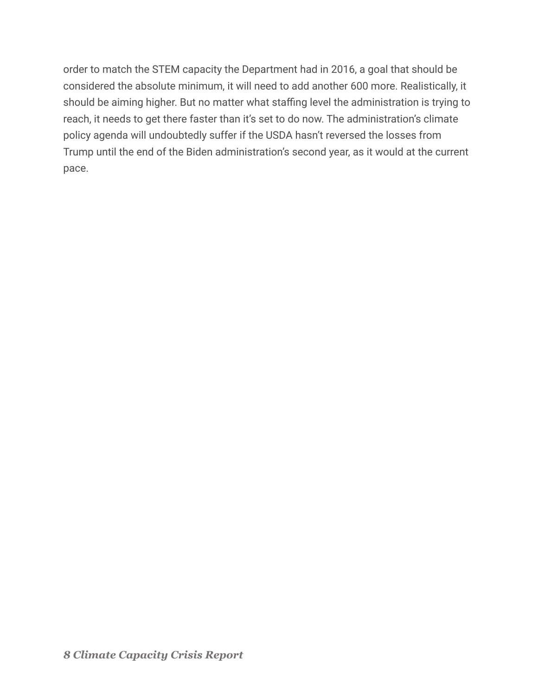order to match the STEM capacity the Department had in 2016, a goal that should be considered the absolute minimum, it will need to add another 600 more. Realistically, it should be aiming higher. But no matter what staffing level the administration is trying to reach, it needs to get there faster than it's set to do now. The administration's climate policy agenda will undoubtedly suffer if the USDA hasn't reversed the losses from Trump until the end of the Biden administration's second year, as it would at the current pace.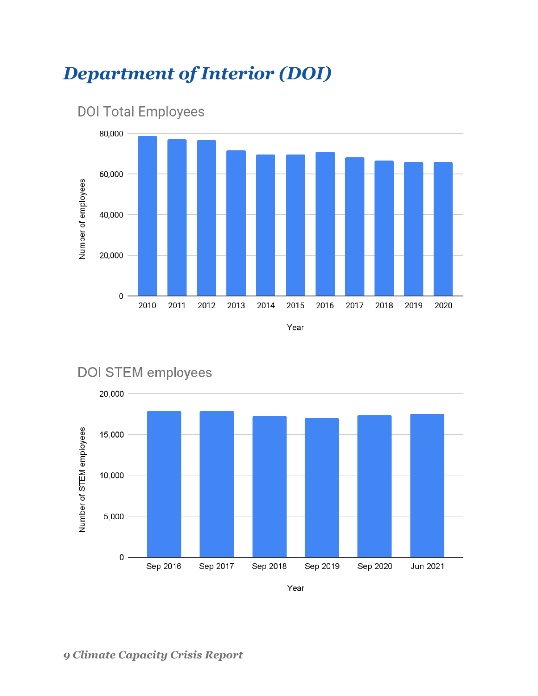## <span id="page-8-0"></span>*Department of Interior (DOI)*





### DOI STEM employees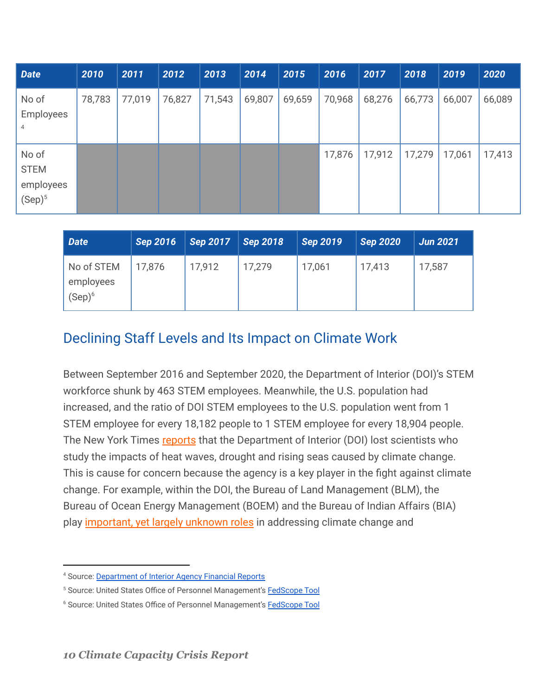| <b>Date</b>                                    | 2010   | 2011   | 2012   | 2013   | 2014   | 2015   | 2016   | 2017   | 2018   | 2019   | 2020   |
|------------------------------------------------|--------|--------|--------|--------|--------|--------|--------|--------|--------|--------|--------|
| No of<br><b>Employees</b><br>4                 | 78,783 | 77,019 | 76,827 | 71,543 | 69,807 | 69,659 | 70,968 | 68,276 | 66,773 | 66,007 | 66,089 |
| No of<br><b>STEM</b><br>employees<br>$(Sep)^5$ |        |        |        |        |        |        | 17,876 | 17,912 | 17,279 | 17,061 | 17,413 |

| Date                                 | <b>Sep 2016</b> | <b>Sep 2017</b> | <b>Sep 2018</b> | Sep 2019 | <b>Sep 2020</b> | <b>Jun 2021</b> |
|--------------------------------------|-----------------|-----------------|-----------------|----------|-----------------|-----------------|
| No of STEM<br>employees<br>$(Sep)^6$ | 17,876          | 17,912          | 17.279          | 17,061   | 17,413          | 17,587          |

#### <span id="page-9-0"></span>Declining Staff Levels and Its Impact on Climate Work

Between September 2016 and September 2020, the Department of Interior (DOI)'s STEM workforce shunk by 463 STEM employees. Meanwhile, the U.S. population had increased, and the ratio of DOI STEM employees to the U.S. population went from 1 STEM employee for every 18,182 people to 1 STEM employee for every 18,904 people. The New York Times [reports](https://www.nytimes.com/2021/08/01/climate/biden-scientists-shortage-climate.html) that the Department of Interior (DOI) lost scientists who study the impacts of heat waves, drought and rising seas caused by climate change. This is cause for concern because the agency is a key player in the fight against climate change. For example, within the DOI, the Bureau of Land Management (BLM), the Bureau of Ocean Energy Management (BOEM) and the Bureau of Indian Affairs (BIA) play [important, yet largely unknown roles](https://truthout.org/articles/we-need-an-interior-department-aimed-at-environmental-justice-not-destruction/?eType=EmailBlastContent&eId=127ee0c4-5f04-4281-803c-3455e32892b5) in addressing climate change and

<sup>4</sup> Source: [Department of Interior Agency Financial Reports](https://www.doi.gov/pfm/afr)

<sup>&</sup>lt;sup>5</sup> Source: United States Office of Personnel Management's **[FedScope Tool](https://www.fedscope.opm.gov/ibmcognos/bi/v1/disp?b_action=powerPlayService&m_encoding=UTF-8&BZ=1AAABpu3eKwh42o1OwW6CQBD9mR3Ug2Z2EAsHDiwLkYOgwqWnhuJqmsJiFjz4983CwfbW9zKZycx7L_OUxaasinOSyXAYe6MyuQSiL19yLgN3J4X~thXoCY8LN8DAE37i7tItEK0c602ic7w~RtU_BEqbXo9Kj0DptW8vyoAnYIu67hS4cnGsm_~6poaPpLu3~bNTelyAJ4HS_3z5K3_pgLAySl_AcPmuarMe_7XtK2t3ZBlv4iLPk7jKijyPDkn4D6sjTuEVkXFE5BwZY8g8ZITMkrHopnTzBEIga47aFjA49INNjB~GzNmnR21GZQADBuQDuQikONAnUDAv_GvBJgC5Vv4LfOI0zQ9NNb8x4wcrtG_w)** 

<sup>&</sup>lt;sup>6</sup> Source: United States Office of Personnel Management's **[FedScope Tool](https://www.fedscope.opm.gov/ibmcognos/bi/v1/disp?b_action=powerPlayService&m_encoding=UTF-8&BZ=1AAABpu3eKwh42o1OwW6CQBD9mR3Ug2Z2EAsHDiwLkYOgwqWnhuJqmsJiFjz4983CwfbW9zKZycx7L_OUxaasinOSyXAYe6MyuQSiL19yLgN3J4X~thXoCY8LN8DAE37i7tItEK0c602ic7w~RtU_BEqbXo9Kj0DptW8vyoAnYIu67hS4cnGsm_~6poaPpLu3~bNTelyAJ4HS_3z5K3_pgLAySl_AcPmuarMe_7XtK2t3ZBlv4iLPk7jKijyPDkn4D6sjTuEVkXFE5BwZY8g8ZITMkrHopnTzBEIga47aFjA49INNjB~GzNmnR21GZQADBuQDuQikONAnUDAv_GvBJgC5Vv4LfOI0zQ9NNb8x4wcrtG_w)**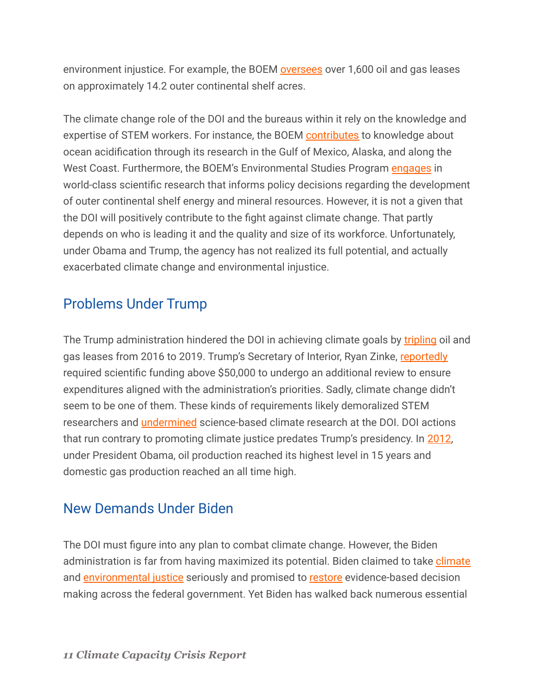environment injustice. For example, the BOEM [oversees](https://www.boem.gov/oil-and-gas-energy) over 1,600 oil and gas leases on approximately 14.2 outer continental shelf acres.

The climate change role of the DOI and the bureaus within it rely on the knowledge and expertise of STEM workers. For instance, the BOEM [contributes](https://oceanacidification.noaa.gov/_iwgoa/AgencyActivities/BOEM.aspx) to knowledge about ocean acidification through its research in the Gulf of Mexico, Alaska, and along the West Coast. Furthermore, the BOEM's Environmental Studies Program [engages](https://oceanacidification.noaa.gov/_iwgoa/AgencyActivities/BOEM.aspx) in world-class scientific research that informs policy decisions regarding the development of outer continental shelf energy and mineral resources. However, it is not a given that the DOI will positively contribute to the fight against climate change. That partly depends on who is leading it and the quality and size of its workforce. Unfortunately, under Obama and Trump, the agency has not realized its full potential, and actually exacerbated climate change and environmental injustice.

#### <span id="page-10-0"></span>Problems Under Trump

The Trump administration hindered the DOI in achieving climate goals by [tripling](https://truthout.org/articles/we-need-an-interior-department-aimed-at-environmental-justice-not-destruction/?eType=EmailBlastContent&eId=127ee0c4-5f04-4281-803c-3455e32892b5) oil and gas leases from 2016 to 2019. Trump's Secretary of Interior, Ryan Zinke, [reportedly](https://www.theguardian.com/us-news/2018/aug/17/interior-secretarys-school-friend-crippling-climate-research-scientists-say) required scientific funding above \$50,000 to undergo an additional review to ensure expenditures aligned with the administration's priorities. Sadly, climate change didn't seem to be one of them. These kinds of requirements likely demoralized STEM researchers and [undermined](https://www.ucsusa.org/resources/science-under-siege-department-interior) science-based climate research at the DOI. DOI actions that run contrary to promoting climate justice predates Trump's presidency. In [2012,](https://www.aspeninstitute.org/wp-content/uploads/files/content/upload/My%20Native%20Voice%20Fact%20Sheet%20Update.pdf) under President Obama, oil production reached its highest level in 15 years and domestic gas production reached an all time high.

#### <span id="page-10-1"></span>New Demands Under Biden

The DOI must figure into any plan to combat climate change. However, the Biden administration is far from having maximized its potential. Biden claimed to take [climate](https://www.whitehouse.gov/briefing-room/statements-releases/2021/01/27/fact-sheet-president-biden-takes-executive-actions-to-tackle-the-climate-crisis-at-home-and-abroad-create-jobs-and-restore-scientific-integrity-across-federal-government/) and [environmental justice](https://joebiden.com/environmental-justice-plan/) seriously and promised to [restore](https://www.whitehouse.gov/briefing-room/presidential-actions/2021/01/27/memorandum-on-restoring-trust-in-government-through-scientific-integrity-and-evidence-based-policymaking/) evidence-based decision making across the federal government. Yet Biden has walked back numerous essential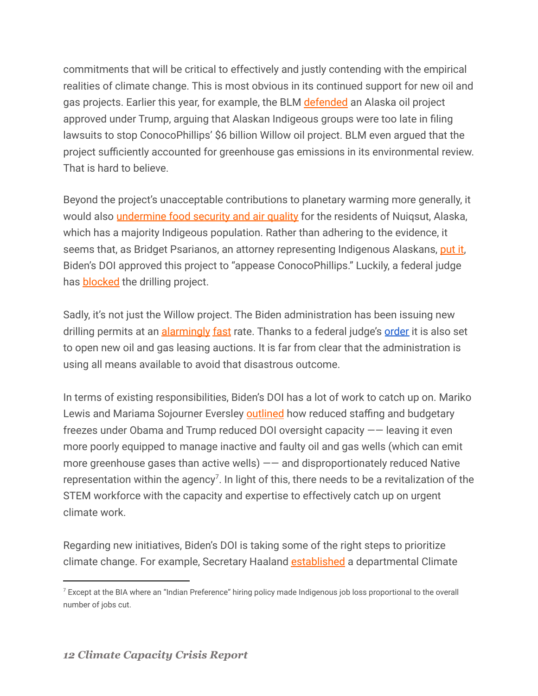commitments that will be critical to effectively and justly contending with the empirical realities of climate change. This is most obvious in its continued support for new oil and gas projects. Earlier this year, for example, the BLM [defended](https://www.alaskajournal.com/sites/alaskajournal.com/files/2021.5.26_-_us_msj_response_brief.pdf) an Alaska oil project approved under Trump, arguing that Alaskan Indigeous groups were too late in filing lawsuits to stop ConocoPhillips' \$6 billion Willow oil project. BLM even argued that the project sufficiently accounted for greenhouse gas emissions in its environmental review. That is hard to believe.

Beyond the project's unacceptable contributions to planetary warming more generally, it would also *[undermine food security and air quality](https://www.nytimes.com/2021/05/26/climate/biden-alaska-drilling.html)* for the residents of Nuiqsut, Alaska, which has a majority Indigeous population. Rather than adhering to the evidence, it seems that, as Bridget Psarianos, an attorney representing Indigenous Alaskans, [put it](https://www.alaskajournal.com/2021-05-28/interior-dept-files-brief-defending-willow-project-review), Biden's DOI approved this project to "appease ConocoPhillips." Luckily, a federal judge has **[blocked](https://www.pri.org/stories/2021-09-23/federal-judge-blocks-major-alaskan-drilling-project)** the drilling project.

Sadly, it's not just the Willow project. The Biden administration has been issuing new drilling permits at an **[alarmingly](https://uagetinvolved.org/content/biden-blows-past-trump-approving-oil-gas-drilling-permits) [fast](https://www.eenews.net/articles/biden-paused-leasing-oil-boomed-anyway/)** rate. Thanks to a federal judge's **[order](https://www.npr.org/2021/06/15/1006948814/bidens-ban-on-new-oil-and-gas-leases-is-blocked-by-a-federal-judge)** it is also set to open new oil and gas leasing auctions. It is far from clear that the administration is using all means available to avoid that disastrous outcome.

In terms of existing responsibilities, Biden's DOI has a lot of work to catch up on. Mariko Lewis and Mariama Sojourner Eversley **[outlined](https://truthout.org/articles/we-need-an-interior-department-aimed-at-environmental-justice-not-destruction/?eType=EmailBlastContent&eId=127ee0c4-5f04-4281-803c-3455e32892b5)** how reduced staffing and budgetary freezes under Obama and Trump reduced DOI oversight capacity —— leaving it even more poorly equipped to manage inactive and faulty oil and gas wells (which can emit more greenhouse gases than active wells) —— and disproportionately reduced Native representation within the agency<sup>7</sup>. In light of this, there needs to be a revitalization of the STEM workforce with the capacity and expertise to effectively catch up on urgent climate work.

Regarding new initiatives, Biden's DOI is taking some of the right steps to prioritize climate change. For example, Secretary Haaland [established](https://www.doi.gov/news/secretary-haaland-establishes-climate-task-force-strengthens-scientific-integrity) a departmental Climate

 $7$  Except at the BIA where an "Indian Preference" hiring policy made Indigenous job loss proportional to the overall number of jobs cut.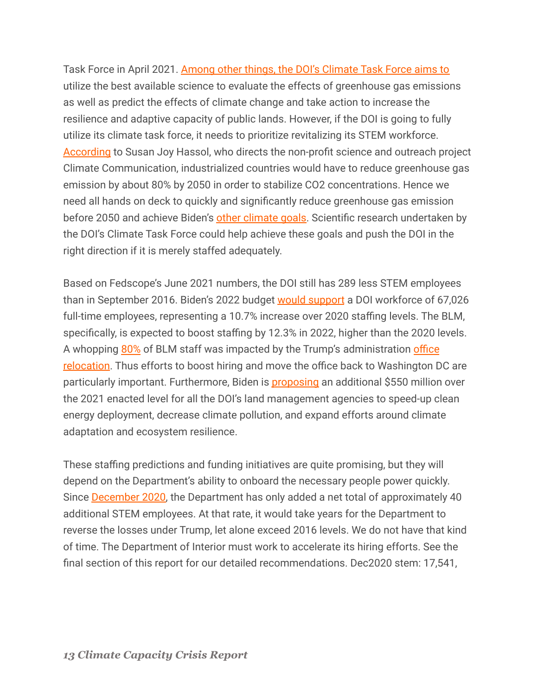Task Force in April 2021. [Among other things, the DOI's Climate Task Force aims to](https://www.doi.gov/sites/doi.gov/files/elips/documents/so-3399-508_0.pdf) utilize the best available science to evaluate the effects of greenhouse gas emissions as well as predict the effects of climate change and take action to increase the resilience and adaptive capacity of public lands. However, if the DOI is going to fully utilize its climate task force, it needs to prioritize revitalizing its STEM workforce. [According](https://climatecommunication.org/wp-content/uploads/2011/08/presidentialaction.pdf) to Susan Joy Hassol, who directs the non-profit science and outreach project Climate Communication, industrialized countries would have to reduce greenhouse gas emission by about 80% by 2050 in order to stabilize CO2 concentrations. Hence we need all hands on deck to quickly and significantly reduce greenhouse gas emission before 2050 and achieve Biden's [other climate goals.](https://www.whitehouse.gov/briefing-room/presidential-actions/2021/01/27/executive-order-on-tackling-the-climate-crisis-at-home-and-abroad/) Scientific research undertaken by the DOI's Climate Task Force could help achieve these goals and push the DOI in the right direction if it is merely staffed adequately.

Based on Fedscope's June 2021 numbers, the DOI still has 289 less STEM employees than in September 2016. Biden's 2022 budget would [support](https://www.doi.gov/sites/doi.gov/files/fy2022-bib-dh003.pdf) a DOI workforce of 67,026 full-time employees, representing a 10.7% increase over 2020 staffing levels. The BLM, specifically, is expected to boost staffing by 12.3% in 2022, higher than the 2020 levels. A whopping [80%](https://federalnewsnetwork.com/workforce/2021/06/with-bidens-2022-budget-civilian-agencies-are-due-for-a-hiring-spree/) of BLM staff was impacted by the Trump's administration [office](https://thehill.com/policy/energy-environment/572796-interior-to-restore-dc-land-management-hq-while-also-maintaining) [relocation](https://thehill.com/policy/energy-environment/572796-interior-to-restore-dc-land-management-hq-while-also-maintaining). Thus efforts to boost hiring and move the office back to Washington DC are particularly important. Furthermore, Biden is **[proposing](https://www.whitehouse.gov/wp-content/uploads/2021/04/FY2022-Discretionary-Request.pdf)** an additional \$550 million over the 2021 enacted level for all the DOI's land management agencies to speed-up clean energy deployment, decrease climate pollution, and expand efforts around climate adaptation and ecosystem resilience.

These staffing predictions and funding initiatives are quite promising, but they will depend on the Department's ability to onboard the necessary people power quickly. Since [December 2020,](https://www.fedscope.opm.gov/ibmcognos/bi/v1/disp?b_action=powerPlayService&m_encoding=UTF-8&BZ=1AAABsjwN_f142o2OTY_CQAyG~8wU9aDpFDDMgQPOQOQgqHDfsDiazfJhhvHgv98AJu7e9m2aNO3bp3WKfFOU_TlOVTjY3uhULYHoy423KvASIZQUnkIKEtpywkD4QeCrhAPRyhl34_gs98eo3IdASd13VncWKLn2zUUb8HfgYVe1Gly1OFb1d3XTw0fc3pv_2erOLsBXQMl9nvy1v11AWBrdXYBweXpUxmqztv36Va5GiKMKuZF5lsWyTPMsiw5x_G_AszuFV0TGEZFzZIwh85ERsjEYi266q59ACDQioqYBFId_GLnyYcx84UUDFAwoAHIRSHOgTyAxN~i7wSYBuaP9l~gUUzU~NOX8xqwfpFR1AQ%3D%3D) the Department has only added a net total of approximately 40 additional STEM employees. At that rate, it would take years for the Department to reverse the losses under Trump, let alone exceed 2016 levels. We do not have that kind of time. The Department of Interior must work to accelerate its hiring efforts. See the final section of this report for our detailed recommendations. Dec2020 stem: 17,541,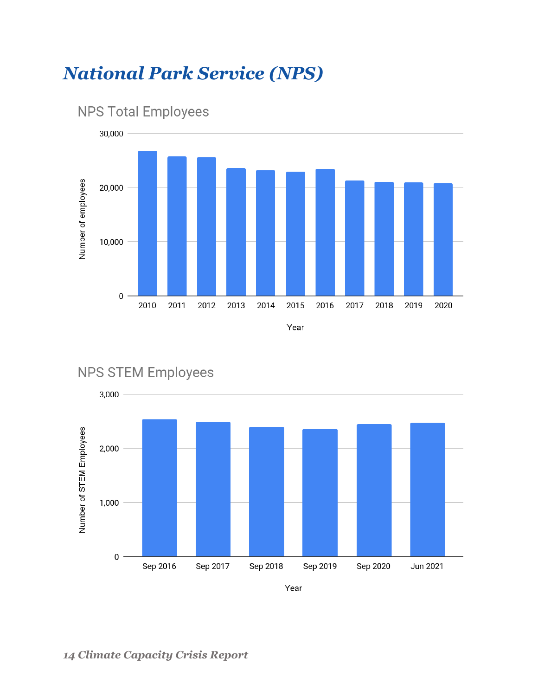## <span id="page-13-0"></span>*National Park Service (NPS)*





**NPS STEM Employees** 

Year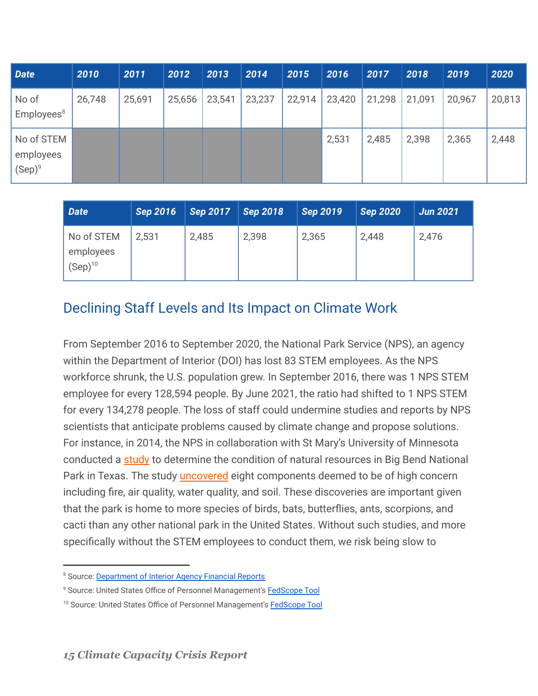| <b>Date</b>                          | 2010   | 2011   | 2012   | 2013   | 2014   | 2015   | 2016   | 2017   | 2018   | 2019   | 2020   |
|--------------------------------------|--------|--------|--------|--------|--------|--------|--------|--------|--------|--------|--------|
| No of<br>Employees <sup>8</sup>      | 26,748 | 25,691 | 25,656 | 23,541 | 23,237 | 22,914 | 23,420 | 21,298 | 21,091 | 20,967 | 20,813 |
| No of STEM<br>employees<br>$(Sep)^9$ |        |        |        |        |        |        | 2,531  | 2,485  | 2,398  | 2,365  | 2,448  |

| <b>Date</b>                             | <b>Sep 2016</b> | Sep 2017 | <b>Sep 2018</b> | <b>Sep 2019</b> | <b>Sep 2020</b> | <b>Jun 2021</b> |
|-----------------------------------------|-----------------|----------|-----------------|-----------------|-----------------|-----------------|
| No of STEM<br>employees<br>$(Sep)^{10}$ | 2,531           | 2,485    | 2,398           | 2,365           | 2,448           | 2,476           |

#### <span id="page-14-0"></span>Declining Staff Levels and Its Impact on Climate Work

From September 2016 to September 2020, the National Park Service (NPS), an agency within the Department of Interior (DOI) has lost 83 STEM employees. As the NPS workforce shrunk, the U.S. population grew. In September 2016, there was 1 NPS STEM employee for every 128,594 people. By June 2021, the ratio had shifted to 1 NPS STEM for every 134,278 people. The loss of staff could undermine studies and reports by NPS scientists that anticipate problems caused by climate change and propose solutions. For instance, in 2014, the NPS in collaboration with St Mary's University of Minnesota conducted a [study](https://irma.nps.gov/DataStore/Reference/Profile/2207919) to determine the condition of natural resources in Big Bend National Park in Texas. The study *[uncovered](https://www.nps.gov/orgs/1439/nrca_bibe.htm)* eight components deemed to be of high concern including fire, air quality, water quality, and soil. These discoveries are important given that the park is home to more species of birds, bats, butterflies, ants, scorpions, and cacti than any other national park in the United States. Without such studies, and more specifically without the STEM employees to conduct them, we risk being slow to

<sup>&</sup>lt;sup>8</sup> Source: [Department of Interior Agency Financial Reports](https://www.doi.gov/pfm/afr)

<sup>&</sup>lt;sup>9</sup> Source: United States Office of Personnel Management's **[FedScope Tool](https://www.fedscope.opm.gov/ibmcognos/bi/v1/disp?b_action=powerPlayService&m_encoding=UTF-8&BZ=1AAABpu3eKwh42o1OwW6CQBD9mR3Ug2Z2EAsHDiwLkYOgwqWnhuJqmsJiFjz4983CwfbW9zKZycx7L_OUxaasinOSyXAYe6MyuQSiL19yLgN3J4X~thXoCY8LN8DAE37i7tItEK0c602ic7w~RtU_BEqbXo9Kj0DptW8vyoAnYIu67hS4cnGsm_~6poaPpLu3~bNTelyAJ4HS_3z5K3_pgLAySl_AcPmuarMe_7XtK2t3ZBlv4iLPk7jKijyPDkn4D6sjTuEVkXFE5BwZY8g8ZITMkrHopnTzBEIga47aFjA49INNjB~GzNmnR21GZQADBuQDuQikONAnUDAv_GvBJgC5Vv4LfOI0zQ9NNb8x4wcrtG_w)** 

<sup>&</sup>lt;sup>10</sup> Source: United States Office of Personnel Management's [FedScope Tool](https://www.fedscope.opm.gov/ibmcognos/bi/v1/disp?b_action=powerPlayService&m_encoding=UTF-8&BZ=1AAABpu3eKwh42o1OwW6CQBD9mR3Ug2Z2EAsHDiwLkYOgwqWnhuJqmsJiFjz4983CwfbW9zKZycx7L_OUxaasinOSyXAYe6MyuQSiL19yLgN3J4X~thXoCY8LN8DAE37i7tItEK0c602ic7w~RtU_BEqbXo9Kj0DptW8vyoAnYIu67hS4cnGsm_~6poaPpLu3~bNTelyAJ4HS_3z5K3_pgLAySl_AcPmuarMe_7XtK2t3ZBlv4iLPk7jKijyPDkn4D6sjTuEVkXFE5BwZY8g8ZITMkrHopnTzBEIga47aFjA49INNjB~GzNmnR21GZQADBuQDuQikONAnUDAv_GvBJgC5Vv4LfOI0zQ9NNb8x4wcrtG_w)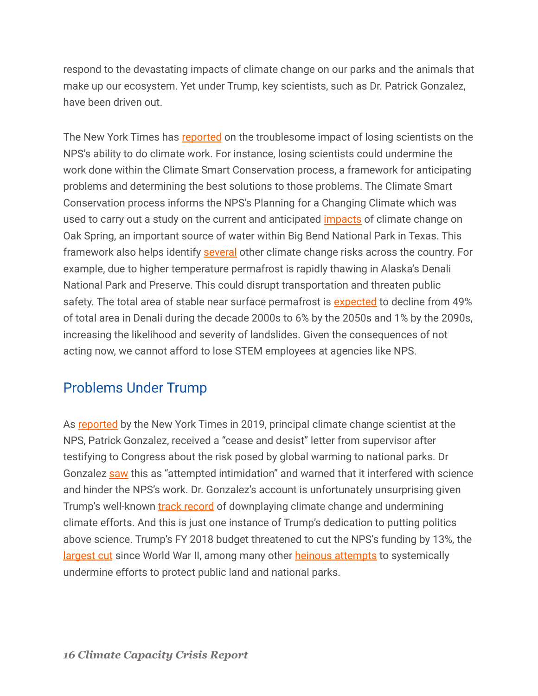respond to the devastating impacts of climate change on our parks and the animals that make up our ecosystem. Yet under Trump, key scientists, such as Dr. Patrick Gonzalez, have been driven out.

The New York Times has [reported](https://www.nytimes.com/2021/08/01/climate/biden-scientists-shortage-climate.html) on the troublesome impact of losing scientists on the NPS's ability to do climate work. For instance, losing scientists could undermine the work done within the Climate Smart Conservation process, a framework for anticipating problems and determining the best solutions to those problems. The Climate Smart Conservation process informs the NPS's Planning for a Changing Climate which was used to carry out a study on the current and anticipated [impacts](https://www.nps.gov/bibe/learn/news/nps-releases-chisos-basin-water-study.htm) of climate change on Oak Spring, an important source of water within Big Bend National Park in Texas. This framework also helps identify [several](https://irma.nps.gov/DataStore/DownloadFile/662814) other climate change risks across the country. For example, due to higher temperature permafrost is rapidly thawing in Alaska's Denali National Park and Preserve. This could disrupt transportation and threaten public safety. The total area of stable near surface permafrost is [expected](https://irma.nps.gov/DataStore/DownloadFile/662814) to decline from 49% of total area in Denali during the decade 2000s to 6% by the 2050s and 1% by the 2090s, increasing the likelihood and severity of landslides. Given the consequences of not acting now, we cannot afford to lose STEM employees at agencies like NPS.

#### <span id="page-15-0"></span>Problems Under Trump

As [reported](https://www.nytimes.com/2019/12/28/climate/trump-administration-war-on-science.html) by the New York Times in 2019, principal climate change scientist at the NPS, Patrick Gonzalez, received a "cease and desist" letter from supervisor after testifying to Congress about the risk posed by global warming to national parks. Dr Gonzalez [saw](https://www.nytimes.com/2019/12/28/climate/trump-administration-war-on-science.html) this as "attempted intimidation" and warned that it interfered with science and hinder the NPS's work. Dr. Gonzalez's account is unfortunately unsurprising given Trump's well-known **[track record](https://www.downtoearth.org.in/news/climate-change/us-elections-2020-a-history-of-trump-s-climate-change-denial-74075)** of downplaying climate change and undermining climate efforts. And this is just one instance of Trump's dedication to putting politics above science. Trump's FY 2018 budget threatened to cut the NPS's funding by 13%, the [largest cut](https://www.npca.org/articles/1553-president-s-budget-threat-to-national-parks) since World War II, among many other heinous [attempts](https://www.npca.org/articles/2171-the-undoing-of-our-public-lands-and-national-parks) to systemically undermine efforts to protect public land and national parks.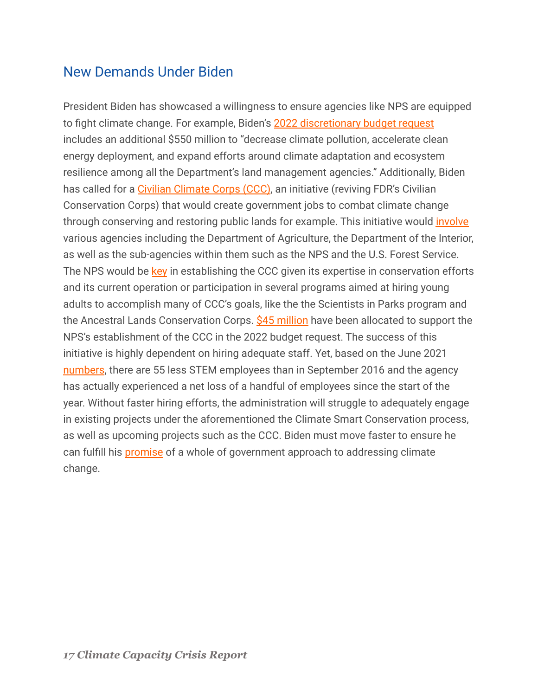#### <span id="page-16-0"></span>New Demands Under Biden

President Biden has showcased a willingness to ensure agencies like NPS are equipped to fight climate change. For example, Biden's 2022 [discretionary budget request](https://www.whitehouse.gov/wp-content/uploads/2021/04/FY2022-Discretionary-Request.pdf) includes an additional \$550 million to "decrease climate pollution, accelerate clean energy deployment, and expand efforts around climate adaptation and ecosystem resilience among all the Department's land management agencies." Additionally, Biden has called for a [Civilian Climate Corps \(CCC\)](https://www.whitehouse.gov/briefing-room/presidential-actions/2021/01/27/executive-order-on-tackling-the-climate-crisis-at-home-and-abroad/), an initiative (reviving FDR's Civilian Conservation Corps) that would create government jobs to combat climate change through conserving and restoring public lands for example. This initiative would *[involve](https://www.brookings.edu/blog/the-avenue/2021/09/15/biden-and-congress-should-go-big-on-a-civilian-climate-corps-to-restore-the-environment-and-provide-good-jobs/)* various agencies including the Department of Agriculture, the Department of the Interior, as well as the sub-agencies within them such as the NPS and the U.S. Forest Service. The NPS would be [key](https://www.doi.gov/sites/doi.gov/files/fy2022-nps-budget-justification.pdf) in establishing the CCC given its expertise in conservation efforts and its current operation or participation in several programs aimed at hiring young adults to accomplish many of CCC's goals, like the the Scientists in Parks program and the Ancestral Lands Conservation Corps. [\\$45 million](https://www.doi.gov/sites/doi.gov/files/fy2022-nps-budget-justification.pdf) have been allocated to support the NPS's establishment of the CCC in the 2022 budget request. The success of this initiative is highly dependent on hiring adequate staff. Yet, based on the June 2021 [numbers](https://www.fedscope.opm.gov/ibmcognos/bi/v1/disp?b_action=powerPlayService&m_encoding=UTF-8&BZ=1AAABsjwN_f142o2OTY_CQAyG~8wU9aDpFDDMgQPOQOQgqHDfsDiazfJhhvHgv98AJu7e9m2aNO3bp3WKfFOU_TlOVTjY3uhULYHoy423KvASIZQUnkIKEtpywkD4QeCrhAPRyhl34_gs98eo3IdASd13VncWKLn2zUUb8HfgYVe1Gly1OFb1d3XTw0fc3pv_2erOLsBXQMl9nvy1v11AWBrdXYBweXpUxmqztv36Va5GiKMKuZF5lsWyTPMsiw5x_G_AszuFV0TGEZFzZIwh85ERsjEYi266q59ACDQioqYBFId_GLnyYcx84UUDFAwoAHIRSHOgTyAxN~i7wSYBuaP9l~gUUzU~NOX8xqwfpFR1AQ%3D%3D), there are 55 less STEM employees than in September 2016 and the agency has actually experienced a net loss of a handful of employees since the start of the year. Without faster hiring efforts, the administration will struggle to adequately engage in existing projects under the aforementioned the Climate Smart Conservation process, as well as upcoming projects such as the CCC. Biden must move faster to ensure he can fulfill his [promise](https://www.whitehouse.gov/briefing-room/statements-releases/2021/01/27/fact-sheet-president-biden-takes-executive-actions-to-tackle-the-climate-crisis-at-home-and-abroad-create-jobs-and-restore-scientific-integrity-across-federal-government/) of a whole of government approach to addressing climate change.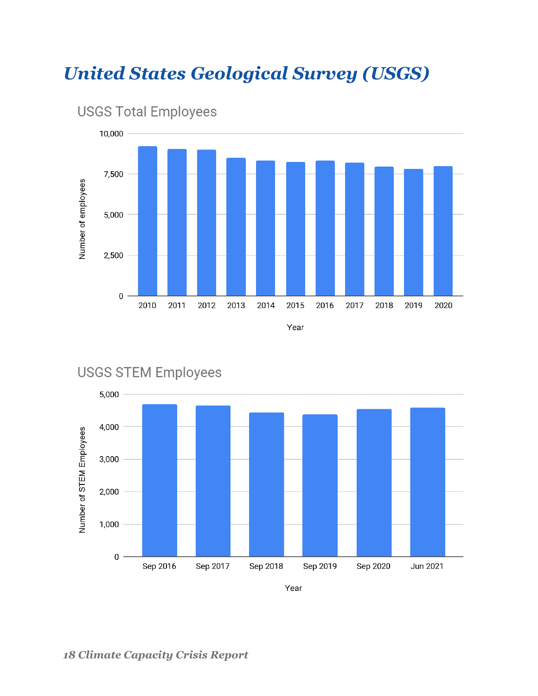## <span id="page-17-0"></span>*United States Geological Survey (USGS)*



#### **USGS Total Employees**



#### **USGS STEM Employees**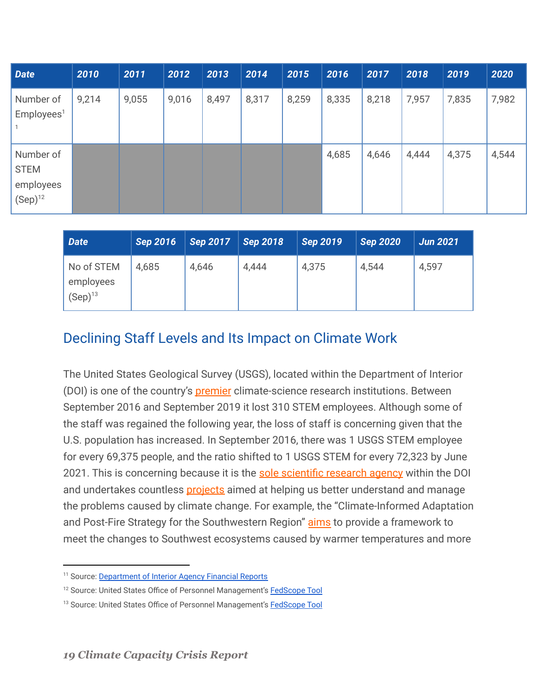| <b>Date</b>                                           | 2010  | 2011  | 2012  | 2013  | 2014  | 2015  | 2016  | 2017  | 2018  | 2019  | 2020  |
|-------------------------------------------------------|-------|-------|-------|-------|-------|-------|-------|-------|-------|-------|-------|
| Number of<br>Employes <sup>1</sup>                    | 9,214 | 9,055 | 9,016 | 8,497 | 8,317 | 8,259 | 8,335 | 8,218 | 7,957 | 7,835 | 7,982 |
| Number of<br><b>STEM</b><br>employees<br>$(Sep)^{12}$ |       |       |       |       |       |       | 4,685 | 4,646 | 4,444 | 4,375 | 4,544 |

| Date                                    | Sep 2016 | <b>Sep 2017</b> | <b>Sep 2018</b> | <b>Sep 2019</b> | <b>Sep 2020</b> | <b>Jun 2021</b> |
|-----------------------------------------|----------|-----------------|-----------------|-----------------|-----------------|-----------------|
| No of STEM<br>employees<br>$(Sep)^{13}$ | 4,685    | 4,646           | 4,444           | 4,375           | 4,544           | 4,597           |

#### <span id="page-18-0"></span>Declining Staff Levels and Its Impact on Climate Work

The United States Geological Survey (USGS), located within the Department of Interior (DOI) is one of the country's **[premier](https://www.nytimes.com/2021/08/01/climate/biden-scientists-shortage-climate.html)** climate-science research institutions. Between September 2016 and September 2019 it lost 310 STEM employees. Although some of the staff was regained the following year, the loss of staff is concerning given that the U.S. population has increased. In September 2016, there was 1 USGS STEM employee for every 69,375 people, and the ratio shifted to 1 USGS STEM for every 72,323 by June 2021. This is concerning because it is the sole scientific [research agency](https://www.usgs.gov/about/about-us/who-we-are) within the DOI and undertakes countless **[projects](https://www.usgs.gov/ecosystems/climate-adaptation-science-centers)** aimed at helping us better understand and manage the problems caused by climate change. For example, the "Climate-Informed Adaptation and Post-Fire Strategy for the Southwestern Region" [aims](https://cascprojects.org/#/project/4f8c6580e4b0546c0c397b4e/5f3156aa82ceae4cb3ca50c9) to provide a framework to meet the changes to Southwest ecosystems caused by warmer temperatures and more

<sup>&</sup>lt;sup>11</sup> Source: [Department of Interior Agency Financial Reports](https://www.doi.gov/pfm/afr)

<sup>&</sup>lt;sup>12</sup> Source: United States Office of Personnel Management's [FedScope Tool](https://www.fedscope.opm.gov/ibmcognos/bi/v1/disp?b_action=powerPlayService&m_encoding=UTF-8&BZ=1AAABpu3eKwh42o1OwW6CQBD9mR3Ug2Z2EAsHDiwLkYOgwqWnhuJqmsJiFjz4983CwfbW9zKZycx7L_OUxaasinOSyXAYe6MyuQSiL19yLgN3J4X~thXoCY8LN8DAE37i7tItEK0c602ic7w~RtU_BEqbXo9Kj0DptW8vyoAnYIu67hS4cnGsm_~6poaPpLu3~bNTelyAJ4HS_3z5K3_pgLAySl_AcPmuarMe_7XtK2t3ZBlv4iLPk7jKijyPDkn4D6sjTuEVkXFE5BwZY8g8ZITMkrHopnTzBEIga47aFjA49INNjB~GzNmnR21GZQADBuQDuQikONAnUDAv_GvBJgC5Vv4LfOI0zQ9NNb8x4wcrtG_w)

<sup>&</sup>lt;sup>13</sup> Source: United States Office of Personnel Management's [FedScope Tool](https://www.fedscope.opm.gov/ibmcognos/bi/v1/disp?b_action=powerPlayService&m_encoding=UTF-8&BZ=1AAABpu3eKwh42o1OwW6CQBD9mR3Ug2Z2EAsHDiwLkYOgwqWnhuJqmsJiFjz4983CwfbW9zKZycx7L_OUxaasinOSyXAYe6MyuQSiL19yLgN3J4X~thXoCY8LN8DAE37i7tItEK0c602ic7w~RtU_BEqbXo9Kj0DptW8vyoAnYIu67hS4cnGsm_~6poaPpLu3~bNTelyAJ4HS_3z5K3_pgLAySl_AcPmuarMe_7XtK2t3ZBlv4iLPk7jKijyPDkn4D6sjTuEVkXFE5BwZY8g8ZITMkrHopnTzBEIga47aFjA49INNjB~GzNmnR21GZQADBuQDuQikONAnUDAv_GvBJgC5Vv4LfOI0zQ9NNb8x4wcrtG_w)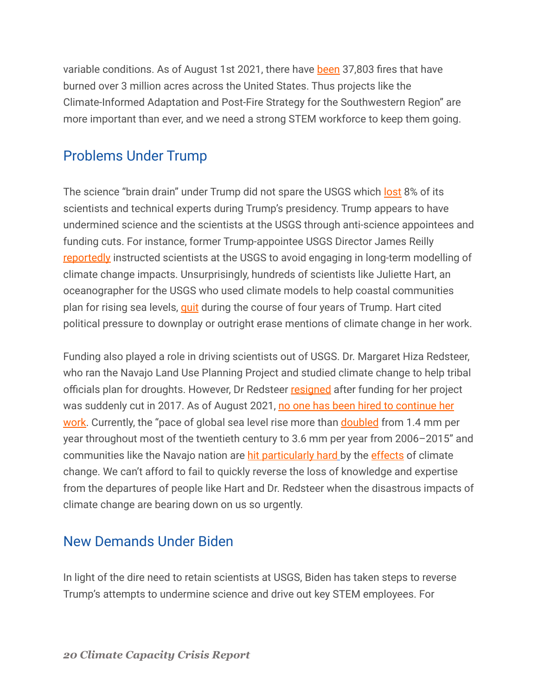variable conditions. As of August 1st 2021, there have [been](https://www.cnn.com/2021/08/01/us/us-western-wildfires-sunday/index.html) 37,803 fires that have burned over 3 million acres across the United States. Thus projects like the Climate-Informed Adaptation and Post-Fire Strategy for the Southwestern Region" are more important than ever, and we need a strong STEM workforce to keep them going.

#### <span id="page-19-0"></span>Problems Under Trump

The science "brain drain" under Trump did not spare the USGS which [lost](https://www.nytimes.com/2021/08/01/climate/biden-scientists-shortage-climate.html) 8% of its scientists and technical experts during Trump's presidency. Trump appears to have undermined science and the scientists at the USGS through anti-science appointees and funding cuts. For instance, former Trump-appointee USGS Director James Reilly [reportedly](https://climate.law.columbia.edu/content/usgs-scientists-ordered-not-model-long-term-climate-impacts) instructed scientists at the USGS to avoid engaging in long-term modelling of climate change impacts. Unsurprisingly, hundreds of scientists like Juliette Hart, an oceanographer for the USGS who used climate models to help coastal communities plan for rising sea levels, [quit](https://www.nytimes.com/2021/08/01/climate/biden-scientists-shortage-climate.html) during the course of four years of Trump. Hart cited political pressure to downplay or outright erase mentions of climate change in her work.

Funding also played a role in driving scientists out of USGS. Dr. Margaret Hiza Redsteer, who ran the Navajo Land Use Planning Project and studied climate change to help tribal officials plan for droughts. However, Dr Redsteer [resigned](https://www.nytimes.com/2021/08/01/climate/biden-scientists-shortage-climate.html) after funding for her project was suddenly cut in 2017. As of August 2021, no one [has been hired to continue her](https://www.nytimes.com/2021/08/01/climate/biden-scientists-shortage-climate.html) [work](https://www.nytimes.com/2021/08/01/climate/biden-scientists-shortage-climate.html). Currently, the "pace of global sea level rise more than [doubled](https://www.climate.gov/news-features/understanding-climate/climate-change-global-sea-level) from 1.4 mm per year throughout most of the twentieth century to 3.6 mm per year from 2006–2015" and communities like the Navajo nation are [hit particularly](https://www.nytimes.com/2021/06/27/climate/climate-Native-Americans.html) hard by the [effects](https://www.pri.org/stories/2018-05-25/navajo-women-struggle-preserve-traditions-climate-change-intensifies#:~:text=Scientists%20studying%20the%20impact%20of,20th%20century%2C%E2%80%9D%20says%20Dr.) of climate change. We can't afford to fail to quickly reverse the loss of knowledge and expertise from the departures of people like Hart and Dr. Redsteer when the disastrous impacts of climate change are bearing down on us so urgently.

#### <span id="page-19-1"></span>New Demands Under Biden

In light of the dire need to retain scientists at USGS, Biden has taken steps to reverse Trump's attempts to undermine science and drive out key STEM employees. For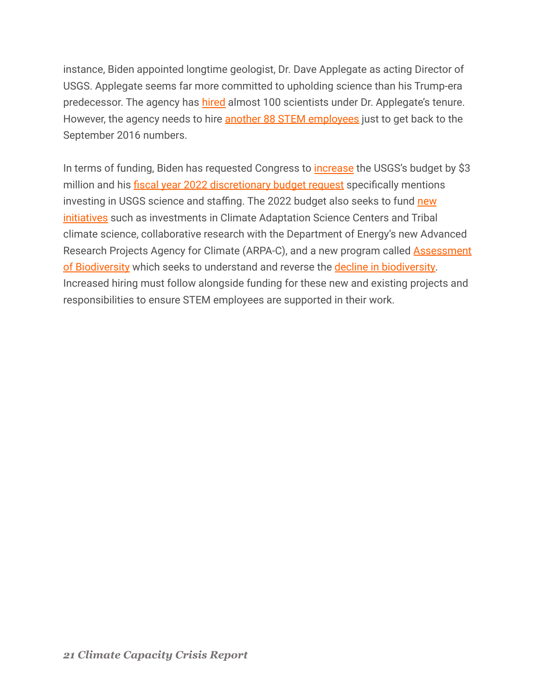instance, Biden appointed longtime geologist, Dr. Dave Applegate as acting Director of USGS. Applegate seems far more committed to upholding science than his Trump-era predecessor. The agency has [hired](https://www.nytimes.com/2021/08/01/climate/biden-scientists-shortage-climate.html) almost 100 scientists under Dr. Applegate's tenure. However, the agency needs to hire [another 88 STEM](https://www.fedscope.opm.gov/ibmcognos/bi/v1/disp?b_action=powerPlayService&m_encoding=UTF-8&BZ=1AAABsjwN_f142o2OTY_CQAyG~8wU9aDpFDDMgQPOQOQgqHDfsDiazfJhhvHgv98AJu7e9m2aNO3bp3WKfFOU_TlOVTjY3uhULYHoy423KvASIZQUnkIKEtpywkD4QeCrhAPRyhl34_gs98eo3IdASd13VncWKLn2zUUb8HfgYVe1Gly1OFb1d3XTw0fc3pv_2erOLsBXQMl9nvy1v11AWBrdXYBweXpUxmqztv36Va5GiKMKuZF5lsWyTPMsiw5x_G_AszuFV0TGEZFzZIwh85ERsjEYi266q59ACDQioqYBFId_GLnyYcx84UUDFAwoAHIRSHOgTyAxN~i7wSYBuaP9l~gUUzU~NOX8xqwfpFR1AQ%3D%3D) employees just to get back to the September 2016 numbers.

In terms of funding, Biden has requested Congress to *[increase](https://www.nytimes.com/2021/08/01/climate/biden-scientists-shortage-climate.html)* the USGS's budget by \$3 million and his [fiscal year 2022 discretionary budget](https://www.whitehouse.gov/wp-content/uploads/2021/04/FY2022-Discretionary-Request.pdf) request specifically mentions investing in USGS science and staffing. The 2022 budget also seeks to fund [new](https://www.doi.gov/sites/doi.gov/files/fy2022-bib-bh059.pdf) [initiatives](https://www.doi.gov/sites/doi.gov/files/fy2022-bib-bh059.pdf) such as investments in Climate Adaptation Science Centers and Tribal climate science, collaborative research with the Department of Energy's new Advanced Research Projects Agency for Climate (ARPA-C), and a new program called **[Assessment](https://www.aibs.org/news/2021/210621-fy-22-usgs-request.html)** [of Biodiversity](https://www.aibs.org/news/2021/210621-fy-22-usgs-request.html) which seeks to understand and reverse the [decline in biodiversity.](https://earth.org/data_visualization/biodiversity-loss-in-numbers-the-2020-wwf-report/) Increased hiring must follow alongside funding for these new and existing projects and responsibilities to ensure STEM employees are supported in their work.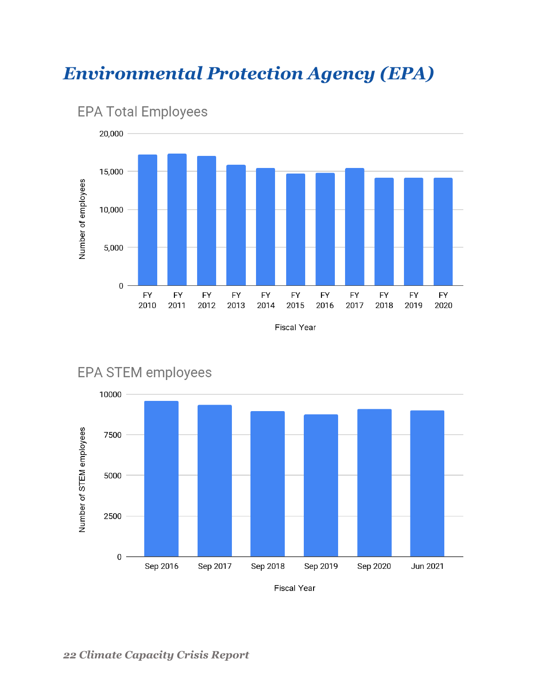## <span id="page-21-0"></span>*Environmental Protection Agency (EPA)*





EPA STEM employees

**EPA Total Employees** 

**Fiscal Year** 

#### *22 Climate Capacity Crisis Report*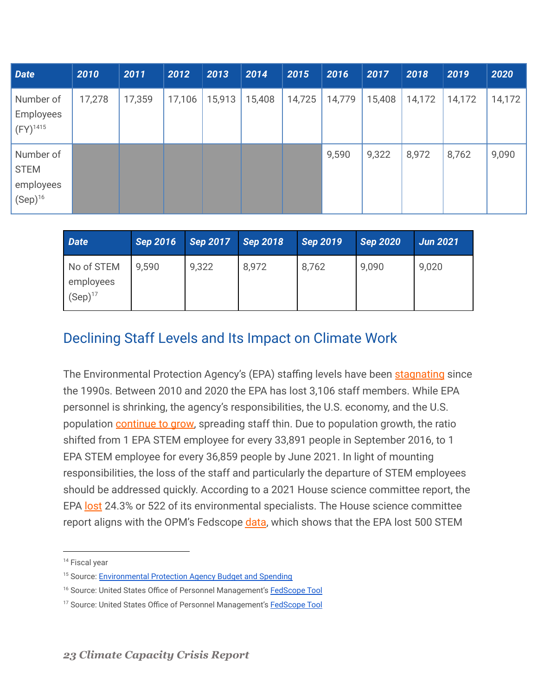| <b>Date</b>                                           | 2010   | 2011   | 2012   | 2013   | 2014   | 2015   | 2016   | 2017   | 2018   | 2019   | 2020   |
|-------------------------------------------------------|--------|--------|--------|--------|--------|--------|--------|--------|--------|--------|--------|
| Number of<br>Employees<br>$(FY)^{1415}$               | 17,278 | 17,359 | 17,106 | 15,913 | 15,408 | 14,725 | 14,779 | 15,408 | 14,172 | 14,172 | 14,172 |
| Number of<br><b>STEM</b><br>employees<br>$(Sep)^{16}$ |        |        |        |        |        |        | 9,590  | 9,322  | 8,972  | 8,762  | 9,090  |

| <b>Date</b>                             | <b>Sep 2016</b> | <b>Sep 2017</b> | <b>Sep 2018</b> | Sep 2019 | <b>Sep 2020</b> | <b>Jun 2021</b> |
|-----------------------------------------|-----------------|-----------------|-----------------|----------|-----------------|-----------------|
| No of STEM<br>employees<br>$(Sep)^{17}$ | 9,590           | 9,322           | 8,972           | 8,762    | 9,090           | 9,020           |

#### <span id="page-22-0"></span>Declining Staff Levels and Its Impact on Climate Work

The Environmental Protection Agency's (EPA) staffing levels have been [stagnating](https://therevolvingdoorproject.org/re-fund-the-epa/) since the 1990s. Between 2010 and 2020 the EPA has lost 3,106 staff members. While EPA personnel is shrinking, the agency's responsibilities, the U.S. economy, and the U.S. population [continue to grow,](https://therevolvingdoorproject.org/re-fund-the-epa/) spreading staff thin. Due to population growth, the ratio shifted from 1 EPA STEM employee for every 33,891 people in September 2016, to 1 EPA STEM employee for every 36,859 people by June 2021. In light of mounting responsibilities, the loss of the staff and particularly the departure of STEM employees should be addressed quickly. According to a 2021 House science committee report, the EPA [lost](https://science.house.gov/imo/media/doc/2021-3%20EMBARGOED%20Scientific%20Brain%20Drain%20Majority%20STAFF%20REPORT%20w%20cover%20page.pdf) 24.3% or 522 of its environmental specialists. The House science committee report aligns with the OPM's Fedscope [data](https://www.fedscope.opm.gov/ibmcognos/bi/v1/disp?b_action=powerPlayService&m_encoding=UTF-8&BZ=1AAABpu3eKwh42o1OwW6CQBD9mR3Ug2Z2EAsHDiwLkYOgwqWnhuJqmsJiFjz4983CwfbW9zKZycx7L_OUxaasinOSyXAYe6MyuQSiL19yLgN3J4X~thXoCY8LN8DAE37i7tItEK0c602ic7w~RtU_BEqbXo9Kj0DptW8vyoAnYIu67hS4cnGsm_~6poaPpLu3~bNTelyAJ4HS_3z5K3_pgLAySl_AcPmuarMe_7XtK2t3ZBlv4iLPk7jKijyPDkn4D6sjTuEVkXFE5BwZY8g8ZITMkrHopnTzBEIga47aFjA49INNjB~GzNmnR21GZQADBuQDuQikONAnUDAv_GvBJgC5Vv4LfOI0zQ9NNb8x4wcrtG_w), which shows that the EPA lost 500 STEM

<sup>&</sup>lt;sup>14</sup> Fiscal year

<sup>&</sup>lt;sup>15</sup> Source: [Environmental Protection Agency Budget and](https://www.epa.gov/planandbudget/budget) Spending

<sup>&</sup>lt;sup>16</sup> Source: United States Office of Personnel Management's **[FedScope Tool](https://www.fedscope.opm.gov/ibmcognos/bi/v1/disp?b_action=powerPlayService&m_encoding=UTF-8&BZ=1AAABpu3eKwh42o1OwW6CQBD9mR3Ug2Z2EAsHDiwLkYOgwqWnhuJqmsJiFjz4983CwfbW9zKZycx7L_OUxaasinOSyXAYe6MyuQSiL19yLgN3J4X~thXoCY8LN8DAE37i7tItEK0c602ic7w~RtU_BEqbXo9Kj0DptW8vyoAnYIu67hS4cnGsm_~6poaPpLu3~bNTelyAJ4HS_3z5K3_pgLAySl_AcPmuarMe_7XtK2t3ZBlv4iLPk7jKijyPDkn4D6sjTuEVkXFE5BwZY8g8ZITMkrHopnTzBEIga47aFjA49INNjB~GzNmnR21GZQADBuQDuQikONAnUDAv_GvBJgC5Vv4LfOI0zQ9NNb8x4wcrtG_w)** 

<sup>&</sup>lt;sup>17</sup> Source: United States Office of Personnel Management's [FedScope Tool](https://www.fedscope.opm.gov/ibmcognos/bi/v1/disp?b_action=powerPlayService&m_encoding=UTF-8&BZ=1AAABpu3eKwh42o1OwW6CQBD9mR3Ug2Z2EAsHDiwLkYOgwqWnhuJqmsJiFjz4983CwfbW9zKZycx7L_OUxaasinOSyXAYe6MyuQSiL19yLgN3J4X~thXoCY8LN8DAE37i7tItEK0c602ic7w~RtU_BEqbXo9Kj0DptW8vyoAnYIu67hS4cnGsm_~6poaPpLu3~bNTelyAJ4HS_3z5K3_pgLAySl_AcPmuarMe_7XtK2t3ZBlv4iLPk7jKijyPDkn4D6sjTuEVkXFE5BwZY8g8ZITMkrHopnTzBEIga47aFjA49INNjB~GzNmnR21GZQADBuQDuQikONAnUDAv_GvBJgC5Vv4LfOI0zQ9NNb8x4wcrtG_w)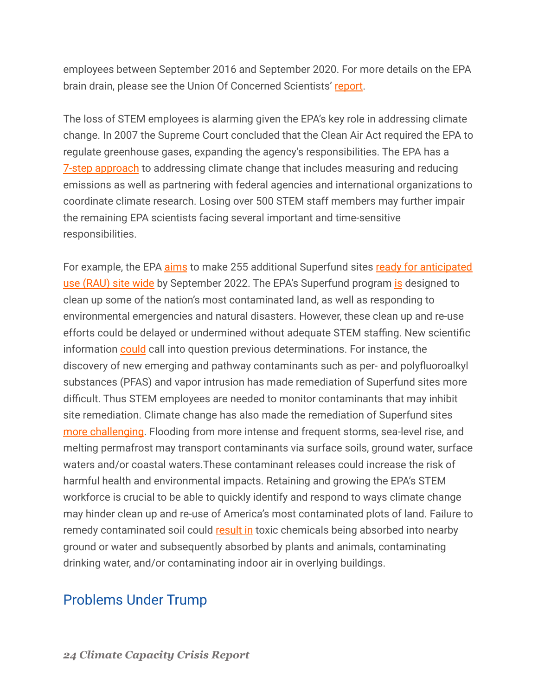employees between September 2016 and September 2020. For more details on the EPA brain drain, please see the Union Of Concerned Scientists' [report](https://www.ucsusa.org/resources/federal-brain-drain#read-online-content).

The loss of STEM employees is alarming given the EPA's key role in addressing climate change. In 2007 the Supreme Court concluded that the Clean Air Act required the EPA to regulate greenhouse gases, expanding the agency's responsibilities. The EPA has a **[7-step approach](https://www.epa.gov/climate-change/what-epa-doing)** to addressing climate change that includes measuring and reducing emissions as well as partnering with federal agencies and international organizations to coordinate climate research. Losing over 500 STEM staff members may further impair the remaining EPA scientists facing several important and time-sensitive responsibilities.

For example, the EPA [aims](https://www.epa.gov/sites/default/files/2018-02/documents/fy-2018-2022-epa-strategic-plan.pdf) to make 255 additional Superfund sites [ready for anticipated](https://www.epa.gov/superfund-redevelopment/performance-measures-superfund-sites) [use \(RAU\) site wide](https://www.epa.gov/superfund-redevelopment/performance-measures-superfund-sites) by September 2022. The EPA's Superfund program [is](https://semspub.epa.gov/work/HQ/100002803.pdf) designed to clean up some of the nation's most contaminated land, as well as responding to environmental emergencies and natural disasters. However, these clean up and re-use efforts could be delayed or undermined without adequate STEM staffing. New scientific information [could](https://www.epa.gov/sites/default/files/2018-02/documents/fy-2018-2022-epa-strategic-plan.pdf) call into question previous determinations. For instance, the discovery of new emerging and pathway contaminants such as per- and polyfluoroalkyl substances (PFAS) and vapor intrusion has made remediation of Superfund sites more difficult. Thus STEM employees are needed to monitor contaminants that may inhibit site remediation. Climate change has also made the remediation of Superfund sites [more challenging.](https://www.epa.gov/sites/default/files/2015-08/documents/adaptationplans2014_508.pdf) Flooding from more intense and frequent storms, sea-level rise, and melting permafrost may transport contaminants via surface soils, ground water, surface waters and/or coastal waters.These contaminant releases could increase the risk of harmful health and environmental impacts. Retaining and growing the EPA's STEM workforce is crucial to be able to quickly identify and respond to ways climate change may hinder clean up and re-use of America's most contaminated plots of land. Failure to remedy contaminated soil could [result in](https://www.epa.gov/report-environment/contaminated-land) toxic chemicals being absorbed into nearby ground or water and subsequently absorbed by plants and animals, contaminating drinking water, and/or contaminating indoor air in overlying buildings.

#### <span id="page-23-0"></span>Problems Under Trump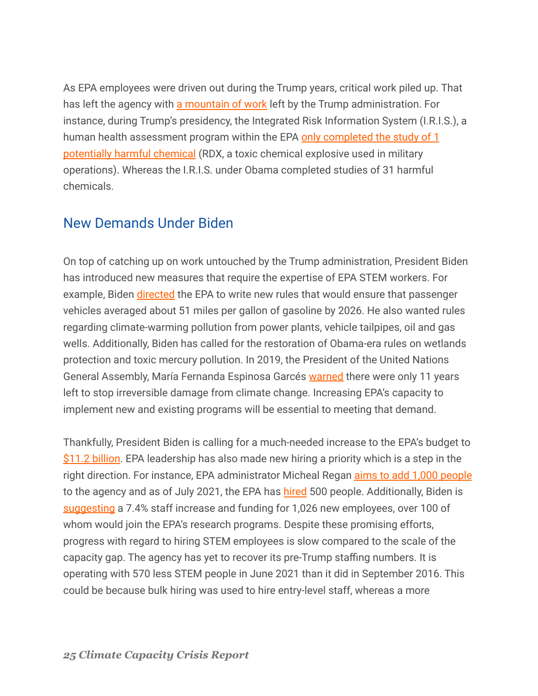As EPA employees were driven out during the Trump years, critical work piled up. That has left the agency with [a mountain of work](https://www.nytimes.com/2021/08/01/climate/biden-scientists-shortage-climate.html) left by the Trump administration. For instance, during Trump's presidency, the Integrated Risk Information System (I.R.I.S.), a human health assessment program within the EPA only [completed the study of 1](https://www.nytimes.com/2021/08/01/climate/biden-scientists-shortage-climate.html) [potentially harmful chemical](https://www.nytimes.com/2021/08/01/climate/biden-scientists-shortage-climate.html) (RDX, a toxic chemical explosive used in military operations). Whereas the I.R.I.S. under Obama completed studies of 31 harmful chemicals.

#### <span id="page-24-0"></span>New Demands Under Biden

On top of catching up on work untouched by the Trump administration, President Biden has introduced new measures that require the expertise of EPA STEM workers. For example, Biden *[directed](https://www.nytimes.com/2021/07/01/climate/biden-electric-cars-tailpipe-emissions.html)* the EPA to write new rules that would ensure that passenger vehicles averaged about 51 miles per gallon of gasoline by 2026. He also wanted rules regarding climate-warming pollution from power plants, vehicle tailpipes, oil and gas wells. Additionally, Biden has called for the restoration of Obama-era rules on wetlands protection and toxic mercury pollution. In 2019, the President of the United Nations General Assembly, María Fernanda Espinosa Garcés [warned](https://www.un.org/press/en/2019/ga12131.doc.htm) there were only 11 years left to stop irreversible damage from climate change. Increasing EPA's capacity to implement new and existing programs will be essential to meeting that demand.

Thankfully, President Biden is calling for a much-needed increase to the EPA's budget to [\\$11.2 billion.](https://news.bloomberglaw.com/environment-and-energy/epa-in-midst-of-hiring-spree-faces-uphill-push-for-more-staff) EPA leadership has also made new hiring a priority which is a step in the right direction. For instance, EPA administrator Micheal Regan [aims to add 1,000 people](https://news.bloomberglaw.com/environment-and-energy/epa-in-midst-of-hiring-spree-faces-uphill-push-for-more-staff) to the agency and as of July 2021, the EPA has [hired](https://afge238.org/news/epa-union-asks-congress-to-top-biden-budget-on-staffing-raises/) 500 people. Additionally, Biden is [suggesting](https://federalnewsnetwork.com/workforce/2021/06/with-bidens-2022-budget-civilian-agencies-are-due-for-a-hiring-spree/) a 7.4% staff increase and funding for 1,026 new employees, over 100 of whom would join the EPA's research programs. Despite these promising efforts, progress with regard to hiring STEM employees is slow compared to the scale of the capacity gap. The agency has yet to recover its pre-Trump staffing numbers. It is operating with 570 less STEM people in June 2021 than it did in September 2016. This could be because bulk hiring was used to hire entry-level staff, whereas a more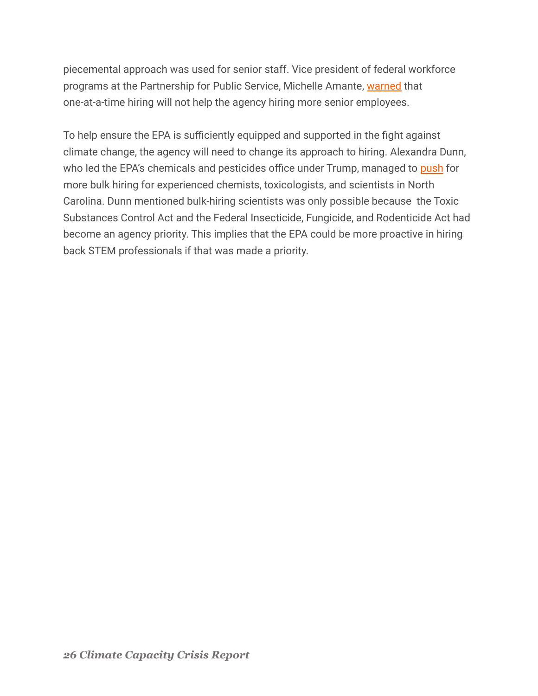piecemental approach was used for senior staff. Vice president of federal workforce programs at the Partnership for Public Service, Michelle Amante, [warned](https://news.bloomberglaw.com/environment-and-energy/epa-in-midst-of-hiring-spree-faces-uphill-push-for-more-staff) that one-at-a-time hiring will not help the agency hiring more senior employees.

To help ensure the EPA is sufficiently equipped and supported in the fight against climate change, the agency will need to change its approach to hiring. Alexandra Dunn, who led the EPA's chemicals and pesticides office under Trump, managed to [push](https://news.bloomberglaw.com/environment-and-energy/epa-in-midst-of-hiring-spree-faces-uphill-push-for-more-staff) for more bulk hiring for experienced chemists, toxicologists, and scientists in North Carolina. Dunn mentioned bulk-hiring scientists was only possible because the Toxic Substances Control Act and the Federal Insecticide, Fungicide, and Rodenticide Act had become an agency priority. This implies that the EPA could be more proactive in hiring back STEM professionals if that was made a priority.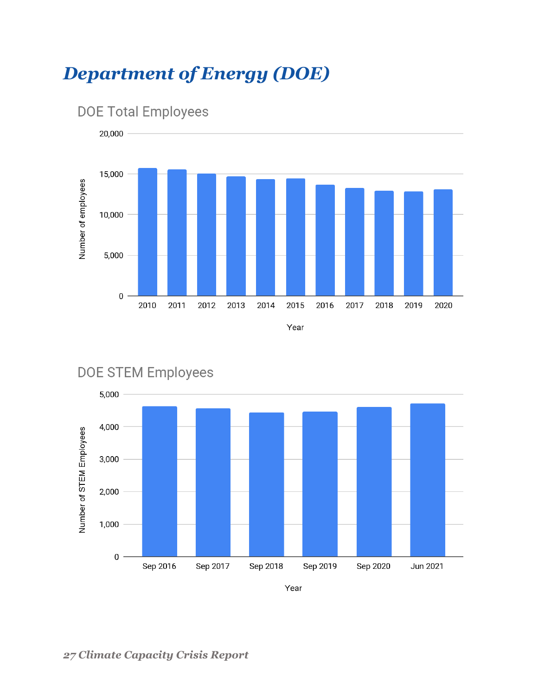## <span id="page-26-0"></span>*Department of Energy (DOE)*



## **DOE Total Employees**



#### **DOE STEM Employees**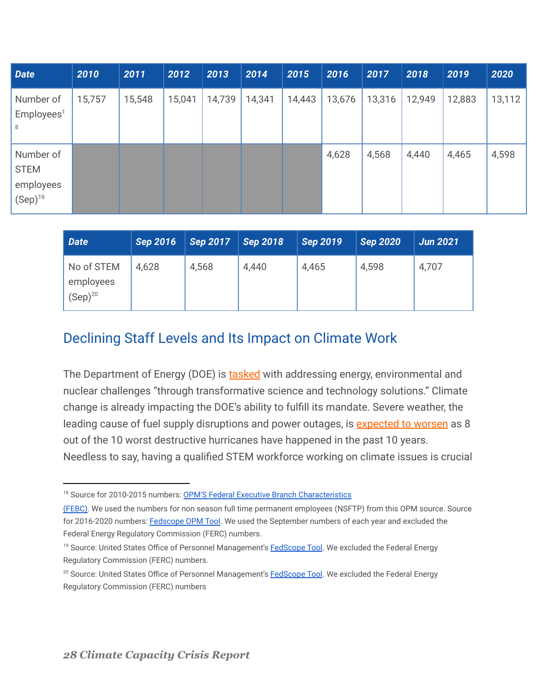| <b>Date</b>                                           | 2010   | 2011   | 2012   | 2013   | 2014   | 2015   | 2016   | 2017   | 2018   | 2019   | 2020   |
|-------------------------------------------------------|--------|--------|--------|--------|--------|--------|--------|--------|--------|--------|--------|
| Number of<br>Employes <sup>1</sup><br>8               | 15,757 | 15,548 | 15,041 | 14,739 | 14,341 | 14,443 | 13,676 | 13,316 | 12,949 | 12,883 | 13,112 |
| Number of<br><b>STEM</b><br>employees<br>$(Sep)^{19}$ |        |        |        |        |        |        | 4,628  | 4,568  | 4,440  | 4,465  | 4,598  |

| Date                                    | <b>Sep 2016</b> | <b>Sep 2017</b> | <b>Sep 2018</b> | <b>Sep 2019</b> | <b>Sep 2020</b> | <b>Jun 2021</b> |
|-----------------------------------------|-----------------|-----------------|-----------------|-----------------|-----------------|-----------------|
| No of STEM<br>employees<br>$(Sep)^{20}$ | 4,628           | 4,568           | 4,440           | 4,465           | 4,598           | 4,707           |

#### <span id="page-27-0"></span>Declining Staff Levels and Its Impact on Climate Work

The Department of Energy (DOE) is [tasked](https://www.energy.gov/mission) with addressing energy, environmental and nuclear challenges "through transformative science and technology solutions." Climate change is already impacting the DOE's ability to fulfill its mandate. Severe weather, the leading cause of fuel supply disruptions and power outages, is [expected to worsen](https://www.energy.gov/science-innovation/climate-change) as 8 out of the 10 worst destructive hurricanes have happened in the past 10 years. Needless to say, having a qualified STEM workforce working on climate issues is crucial

<sup>&</sup>lt;sup>18</sup> Source for 2010-2015 numbers: [OPM'S Federal Executive](https://www.opm.gov/policy-data-oversight/data-analysis-documentation/federal-employment-reports/reports-publications/federal-executive-branch-characteristics-2010-2018.pdf) Branch Characteristics

[<sup>\(</sup>FEBC\).](https://www.opm.gov/policy-data-oversight/data-analysis-documentation/federal-employment-reports/reports-publications/federal-executive-branch-characteristics-2010-2018.pdf) We used the numbers for non season full time permanent employees (NSFTP) from this OPM source. Source for 2016-2020 numbers: [Fedscope OPM Tool.](https://www.fedscope.opm.gov/ibmcognos/bi/v1/disp?b_action=powerPlayService&m_encoding=UTF-8&BZ=1AAABpu3eKwh42o1OwW6CQBD9mR3Ug2Z2EAsHDiwLkYOgwqWnhuJqmsJiFjz4983CwfbW9zKZycx7L_OUxaasinOSyXAYe6MyuQSiL19yLgN3J4X~thXoCY8LN8DAE37i7tItEK0c602ic7w~RtU_BEqbXo9Kj0DptW8vyoAnYIu67hS4cnGsm_~6poaPpLu3~bNTelyAJ4HS_3z5K3_pgLAySl_AcPmuarMe_7XtK2t3ZBlv4iLPk7jKijyPDkn4D6sjTuEVkXFE5BwZY8g8ZITMkrHopnTzBEIga47aFjA49INNjB~GzNmnR21GZQADBuQDuQikONAnUDAv_GvBJgC5Vv4LfOI0zQ9NNb8x4wcrtG_w) We used the September numbers of each year and excluded the Federal Energy Regulatory Commission (FERC) numbers.

<sup>&</sup>lt;sup>19</sup> Source: United States Office of Personnel Management's [FedScope Tool](https://www.fedscope.opm.gov/ibmcognos/bi/v1/disp?b_action=powerPlayService&m_encoding=UTF-8&BZ=1AAABpu3eKwh42o1OwW6CQBD9mR3Ug2Z2EAsHDiwLkYOgwqWnhuJqmsJiFjz4983CwfbW9zKZycx7L_OUxaasinOSyXAYe6MyuQSiL19yLgN3J4X~thXoCY8LN8DAE37i7tItEK0c602ic7w~RtU_BEqbXo9Kj0DptW8vyoAnYIu67hS4cnGsm_~6poaPpLu3~bNTelyAJ4HS_3z5K3_pgLAySl_AcPmuarMe_7XtK2t3ZBlv4iLPk7jKijyPDkn4D6sjTuEVkXFE5BwZY8g8ZITMkrHopnTzBEIga47aFjA49INNjB~GzNmnR21GZQADBuQDuQikONAnUDAv_GvBJgC5Vv4LfOI0zQ9NNb8x4wcrtG_w). We excluded the Federal Energy Regulatory Commission (FERC) numbers.

<sup>&</sup>lt;sup>20</sup> Source: United States Office of Personnel Management's [FedScope Tool](https://www.fedscope.opm.gov/ibmcognos/bi/v1/disp?b_action=powerPlayService&m_encoding=UTF-8&BZ=1AAABpu3eKwh42o1OwW6CQBD9mR3Ug2Z2EAsHDiwLkYOgwqWnhuJqmsJiFjz4983CwfbW9zKZycx7L_OUxaasinOSyXAYe6MyuQSiL19yLgN3J4X~thXoCY8LN8DAE37i7tItEK0c602ic7w~RtU_BEqbXo9Kj0DptW8vyoAnYIu67hS4cnGsm_~6poaPpLu3~bNTelyAJ4HS_3z5K3_pgLAySl_AcPmuarMe_7XtK2t3ZBlv4iLPk7jKijyPDkn4D6sjTuEVkXFE5BwZY8g8ZITMkrHopnTzBEIga47aFjA49INNjB~GzNmnR21GZQADBuQDuQikONAnUDAv_GvBJgC5Vv4LfOI0zQ9NNb8x4wcrtG_w). We excluded the Federal Energy Regulatory Commission (FERC) numbers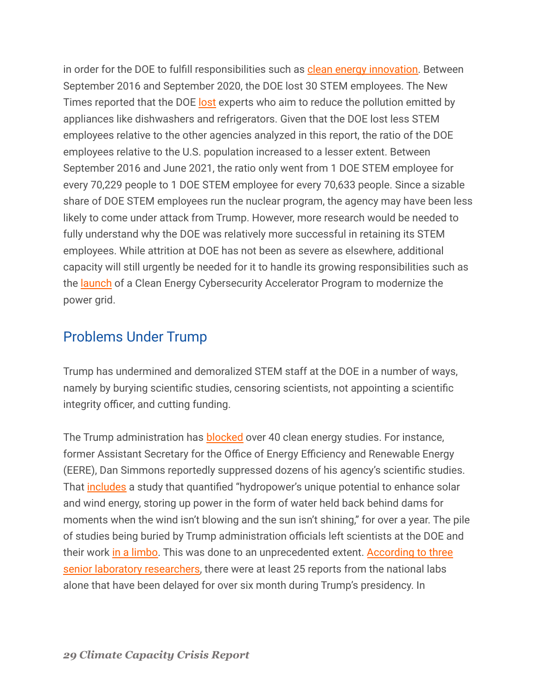in order for the DOE to fulfill responsibilities such as [clean energy innovation.](https://www.energy.gov/science-innovation/climate-change) Between September 2016 and September 2020, the DOE lost 30 STEM employees. The New Times reported that the DOE [lost](https://www.nytimes.com/2021/08/01/climate/biden-scientists-shortage-climate.html) experts who aim to reduce the pollution emitted by appliances like dishwashers and refrigerators. Given that the DOE lost less STEM employees relative to the other agencies analyzed in this report, the ratio of the DOE employees relative to the U.S. population increased to a lesser extent. Between September 2016 and June 2021, the ratio only went from 1 DOE STEM employee for every 70,229 people to 1 DOE STEM employee for every 70,633 people. Since a sizable share of DOE STEM employees run the nuclear program, the agency may have been less likely to come under attack from Trump. However, more research would be needed to fully understand why the DOE was relatively more successful in retaining its STEM employees. While attrition at DOE has not been as severe as elsewhere, additional capacity will still urgently be needed for it to handle its growing responsibilities such as the [launch](https://www.energy.gov/articles/doe-announces-clean-energy-cybersecurity-accelerator-program-modernize-grid) of a Clean Energy Cybersecurity Accelerator Program to modernize the power grid.

#### <span id="page-28-0"></span>Problems Under Trump

Trump has undermined and demoralized STEM staff at the DOE in a number of ways, namely by burying scientific studies, censoring scientists, not appointing a scientific integrity officer, and cutting funding.

The Trump administration has **[blocked](https://www.invw.org/2020/10/26/trump-administration-buries-dozens-of-clean-energy-studies/)** over 40 clean energy studies. For instance, former Assistant Secretary for the Office of Energy Efficiency and Renewable Energy (EERE), Dan Simmons reportedly suppressed dozens of his agency's scientific studies. That [includes](https://www.invw.org/2020/10/26/trump-administration-buries-dozens-of-clean-energy-studies/) a study that quantified "hydropower's unique potential to enhance solar and wind energy, storing up power in the form of water held back behind dams for moments when the wind isn't blowing and the sun isn't shining," for over a year. The pile of studies being buried by Trump administration officials left scientists at the DOE and their work [in a limbo.](https://www.invw.org/2020/10/26/trump-administration-buries-dozens-of-clean-energy-studies/) This was done to an unprecedented extent. [According to three](https://www.invw.org/2020/10/26/trump-administration-buries-dozens-of-clean-energy-studies/) [senior laboratory researchers,](https://www.invw.org/2020/10/26/trump-administration-buries-dozens-of-clean-energy-studies/) there were at least 25 reports from the national labs alone that have been delayed for over six month during Trump's presidency. In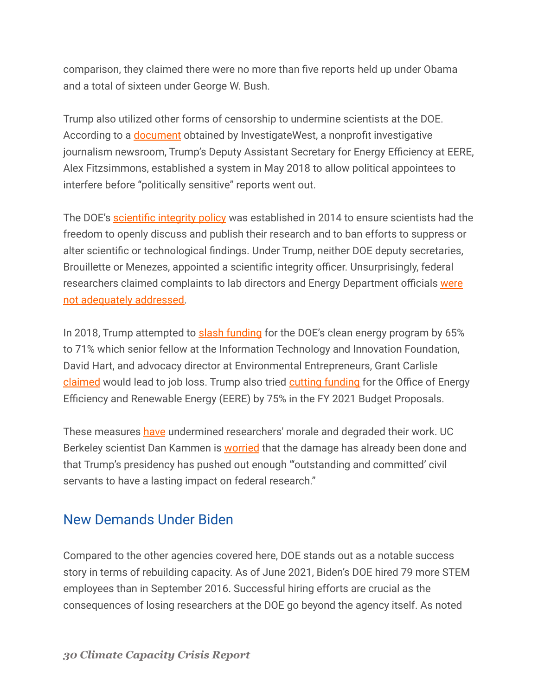comparison, they claimed there were no more than five reports held up under Obama and a total of sixteen under George W. Bush.

Trump also utilized other forms of censorship to undermine scientists at the DOE. According to a [document](https://www.documentcloud.org/documents/7203246-Review-Tiers-for-EERE-Funded-Studies.html) obtained by InvestigateWest, a nonprofit investigative journalism newsroom, Trump's Deputy Assistant Secretary for Energy Efficiency at EERE, Alex Fitzsimmons, established a system in May 2018 to allow political appointees to interfere before "politically sensitive" reports went out.

The DOE's [scientific integrity policy](https://www.energy.gov/downloads/department-energy-scientific-integrity-policy) was established in 2014 to ensure scientists had the freedom to openly discuss and publish their research and to ban efforts to suppress or alter scientific or technological findings. Under Trump, neither DOE deputy secretaries, Brouillette or Menezes, appointed a scientific integrity officer. Unsurprisingly, federal researchers claimed complaints to lab directors and Energy Department officials [were](https://www.invw.org/2020/10/26/trump-administration-buries-dozens-of-clean-energy-studies/) [not adequately addressed.](https://www.invw.org/2020/10/26/trump-administration-buries-dozens-of-clean-energy-studies/)

In 2018, Trump attempted to [slash funding](https://www.greentechmedia.com/articles/read/trump-budget-slashes-clean-energy-programs) for the DOE's clean energy program by 65% to 71% which senior fellow at the Information Technology and Innovation Foundation, David Hart, and advocacy director at Environmental Entrepreneurs, Grant Carlisle [claimed](https://www.greentechmedia.com/articles/read/trump-budget-slashes-clean-energy-programs) would lead to job loss. Trump also tried cutting [funding](https://www.aip.org/sites/default/files/aipcorp/images/fyi/fy21-science-agency-budget-proposals.jpg?utm_medium=email&utm_source=FYI&dm_i=1ZJN,72EZ4,OX8QMT,SJANF,1) for the Office of Energy Efficiency and Renewable Energy (EERE) by 75% in the FY 2021 Budget Proposals.

These measures [have](https://www.invw.org/2020/10/26/trump-administration-buries-dozens-of-clean-energy-studies/) undermined researchers' morale and degraded their work. UC Berkeley scientist Dan Kammen is [worried](https://www.invw.org/2020/10/26/trump-administration-buries-dozens-of-clean-energy-studies/) that the damage has already been done and that Trump's presidency has pushed out enough "'outstanding and committed' civil servants to have a lasting impact on federal research."

#### <span id="page-29-0"></span>New Demands Under Biden

Compared to the other agencies covered here, DOE stands out as a notable success story in terms of rebuilding capacity. As of June 2021, Biden's DOE hired 79 more STEM employees than in September 2016. Successful hiring efforts are crucial as the consequences of losing researchers at the DOE go beyond the agency itself. As noted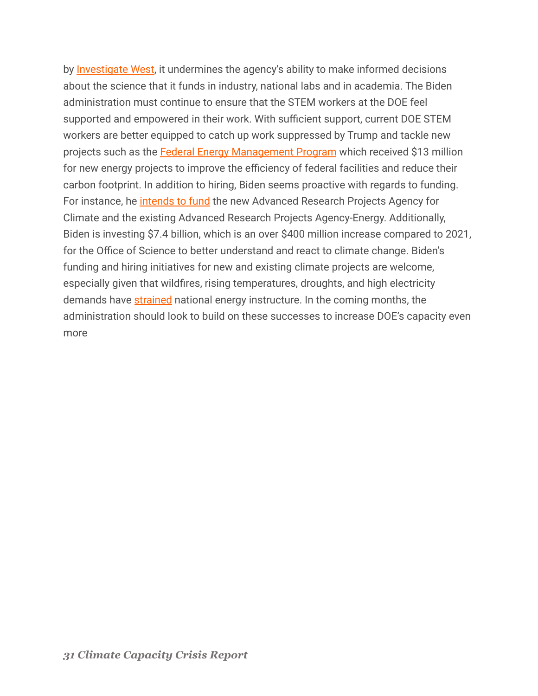by [Investigate West,](https://www.invw.org/2020/10/26/trump-administration-buries-dozens-of-clean-energy-studies/) it undermines the agency's ability to make informed decisions about the science that it funds in industry, national labs and in academia. The Biden administration must continue to ensure that the STEM workers at the DOE feel supported and empowered in their work. With sufficient support, current DOE STEM workers are better equipped to catch up work suppressed by Trump and tackle new projects such as the [Federal Energy Management Program](https://www.energy.gov/eere/articles/department-energy-boosts-climate-change-mitigation-federal-facilities-through) which received \$13 million for new energy projects to improve the efficiency of federal facilities and reduce their carbon footprint. In addition to hiring, Biden seems proactive with regards to funding. For instance, he [intends to fund](https://www.whitehouse.gov/wp-content/uploads/2021/04/FY2022-Discretionary-Request.pdf) the new Advanced Research Projects Agency for Climate and the existing Advanced Research Projects Agency-Energy. Additionally, Biden is investing \$7.4 billion, which is an over \$400 million increase compared to 2021, for the Office of Science to better understand and react to climate change. Biden's funding and hiring initiatives for new and existing climate projects are welcome, especially given that wildfires, rising temperatures, droughts, and high electricity demands have [strained](https://www.energy.gov/science-innovation/climate-change) national energy instructure. In the coming months, the administration should look to build on these successes to increase DOE's capacity even more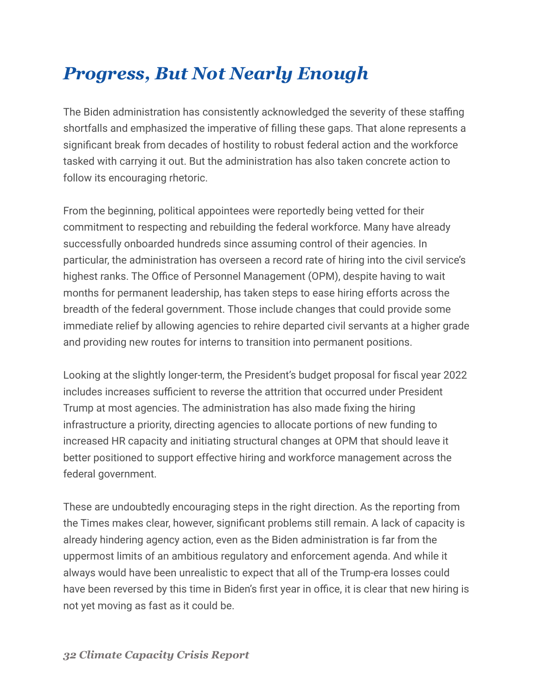## <span id="page-31-0"></span>*Progress, But Not Nearly Enough*

The Biden administration has consistently acknowledged the severity of these staffing shortfalls and emphasized the imperative of filling these gaps. That alone represents a significant break from decades of hostility to robust federal action and the workforce tasked with carrying it out. But the administration has also taken concrete action to follow its encouraging rhetoric.

From the beginning, political appointees were reportedly being vetted for their commitment to respecting and rebuilding the federal workforce. Many have already successfully onboarded hundreds since assuming control of their agencies. In particular, the administration has overseen a record rate of hiring into the civil service's highest ranks. The Office of Personnel Management (OPM), despite having to wait months for permanent leadership, has taken steps to ease hiring efforts across the breadth of the federal government. Those include changes that could provide some immediate relief by allowing agencies to rehire departed civil servants at a higher grade and providing new routes for interns to transition into permanent positions.

Looking at the slightly longer-term, the President's budget proposal for fiscal year 2022 includes increases sufficient to reverse the attrition that occurred under President Trump at most agencies. The administration has also made fixing the hiring infrastructure a priority, directing agencies to allocate portions of new funding to increased HR capacity and initiating structural changes at OPM that should leave it better positioned to support effective hiring and workforce management across the federal government.

These are undoubtedly encouraging steps in the right direction. As the reporting from the Times makes clear, however, significant problems still remain. A lack of capacity is already hindering agency action, even as the Biden administration is far from the uppermost limits of an ambitious regulatory and enforcement agenda. And while it always would have been unrealistic to expect that all of the Trump-era losses could have been reversed by this time in Biden's first year in office, it is clear that new hiring is not yet moving as fast as it could be.

*32 Climate Capacity Crisis Report*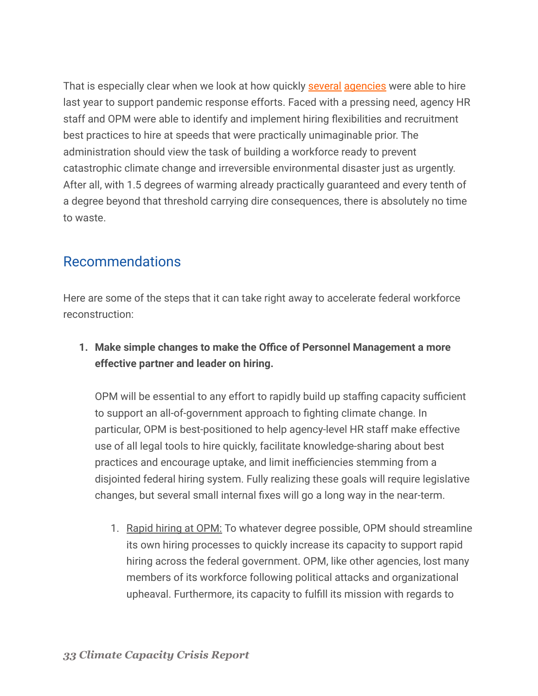That is especially clear when we look at how quickly [several](https://ourpublicservice.org/fed-figures-covid-19-and-the-federal-workforce/) [agencies](https://www.govexec.com/pay-benefits/2020/07/va-significantly-boosts-hiring-covid-19-cases-among-employees-and-veterans-spike/166625/) were able to hire last year to support pandemic response efforts. Faced with a pressing need, agency HR staff and OPM were able to identify and implement hiring flexibilities and recruitment best practices to hire at speeds that were practically unimaginable prior. The administration should view the task of building a workforce ready to prevent catastrophic climate change and irreversible environmental disaster just as urgently. After all, with 1.5 degrees of warming already practically guaranteed and every tenth of a degree beyond that threshold carrying dire consequences, there is absolutely no time to waste.

#### <span id="page-32-0"></span>Recommendations

Here are some of the steps that it can take right away to accelerate federal workforce reconstruction:

**1. Make simple changes to make the Office of Personnel Management a more effective partner and leader on hiring.**

OPM will be essential to any effort to rapidly build up staffing capacity sufficient to support an all-of-government approach to fighting climate change. In particular, OPM is best-positioned to help agency-level HR staff make effective use of all legal tools to hire quickly, facilitate knowledge-sharing about best practices and encourage uptake, and limit inefficiencies stemming from a disjointed federal hiring system. Fully realizing these goals will require legislative changes, but several small internal fixes will go a long way in the near-term.

1. Rapid hiring at OPM: To whatever degree possible, OPM should streamline its own hiring processes to quickly increase its capacity to support rapid hiring across the federal government. OPM, like other agencies, lost many members of its workforce following political attacks and organizational upheaval. Furthermore, its capacity to fulfill its mission with regards to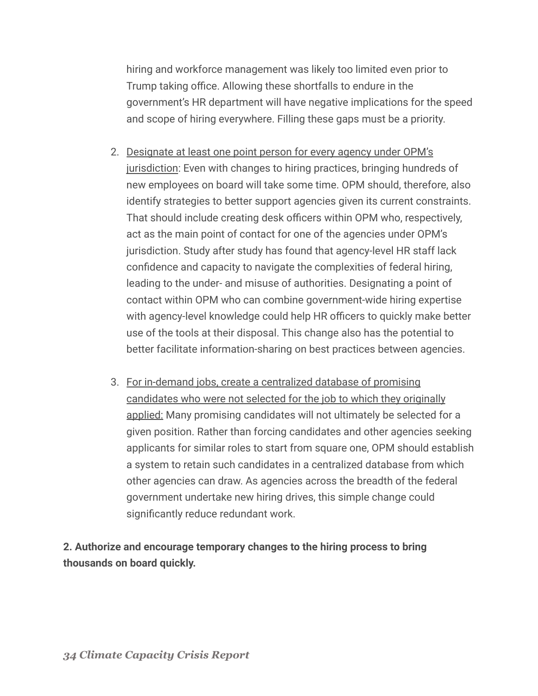hiring and workforce management was likely too limited even prior to Trump taking office. Allowing these shortfalls to endure in the government's HR department will have negative implications for the speed and scope of hiring everywhere. Filling these gaps must be a priority.

- 2. Designate at least one point person for every agency under OPM's jurisdiction: Even with changes to hiring practices, bringing hundreds of new employees on board will take some time. OPM should, therefore, also identify strategies to better support agencies given its current constraints. That should include creating desk officers within OPM who, respectively, act as the main point of contact for one of the agencies under OPM's jurisdiction. Study after study has found that agency-level HR staff lack confidence and capacity to navigate the complexities of federal hiring, leading to the under- and misuse of authorities. Designating a point of contact within OPM who can combine government-wide hiring expertise with agency-level knowledge could help HR officers to quickly make better use of the tools at their disposal. This change also has the potential to better facilitate information-sharing on best practices between agencies.
- 3. For in-demand jobs, create a centralized database of promising candidates who were not selected for the job to which they originally applied: Many promising candidates will not ultimately be selected for a given position. Rather than forcing candidates and other agencies seeking applicants for similar roles to start from square one, OPM should establish a system to retain such candidates in a centralized database from which other agencies can draw. As agencies across the breadth of the federal government undertake new hiring drives, this simple change could significantly reduce redundant work.

**2. Authorize and encourage temporary changes to the hiring process to bring thousands on board quickly.**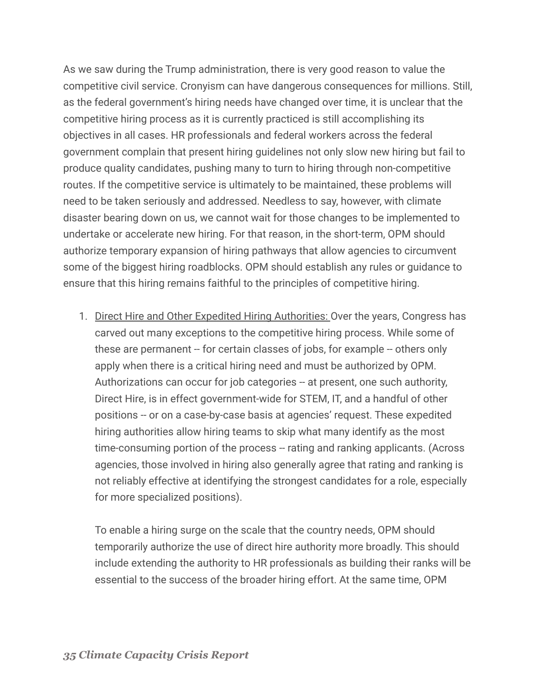As we saw during the Trump administration, there is very good reason to value the competitive civil service. Cronyism can have dangerous consequences for millions. Still, as the federal government's hiring needs have changed over time, it is unclear that the competitive hiring process as it is currently practiced is still accomplishing its objectives in all cases. HR professionals and federal workers across the federal government complain that present hiring guidelines not only slow new hiring but fail to produce quality candidates, pushing many to turn to hiring through non-competitive routes. If the competitive service is ultimately to be maintained, these problems will need to be taken seriously and addressed. Needless to say, however, with climate disaster bearing down on us, we cannot wait for those changes to be implemented to undertake or accelerate new hiring. For that reason, in the short-term, OPM should authorize temporary expansion of hiring pathways that allow agencies to circumvent some of the biggest hiring roadblocks. OPM should establish any rules or guidance to ensure that this hiring remains faithful to the principles of competitive hiring.

1. Direct Hire and Other Expedited Hiring Authorities: Over the years, Congress has carved out many exceptions to the competitive hiring process. While some of these are permanent -- for certain classes of jobs, for example -- others only apply when there is a critical hiring need and must be authorized by OPM. Authorizations can occur for job categories -- at present, one such authority, Direct Hire, is in effect government-wide for STEM, IT, and a handful of other positions -- or on a case-by-case basis at agencies' request. These expedited hiring authorities allow hiring teams to skip what many identify as the most time-consuming portion of the process -- rating and ranking applicants. (Across agencies, those involved in hiring also generally agree that rating and ranking is not reliably effective at identifying the strongest candidates for a role, especially for more specialized positions).

To enable a hiring surge on the scale that the country needs, OPM should temporarily authorize the use of direct hire authority more broadly. This should include extending the authority to HR professionals as building their ranks will be essential to the success of the broader hiring effort. At the same time, OPM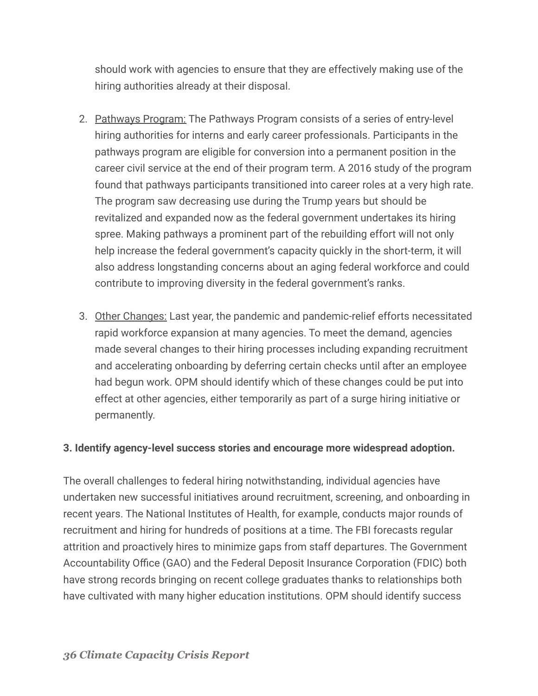should work with agencies to ensure that they are effectively making use of the hiring authorities already at their disposal.

- 2. Pathways Program: The Pathways Program consists of a series of entry-level hiring authorities for interns and early career professionals. Participants in the pathways program are eligible for conversion into a permanent position in the career civil service at the end of their program term. A 2016 study of the program found that pathways participants transitioned into career roles at a very high rate. The program saw decreasing use during the Trump years but should be revitalized and expanded now as the federal government undertakes its hiring spree. Making pathways a prominent part of the rebuilding effort will not only help increase the federal government's capacity quickly in the short-term, it will also address longstanding concerns about an aging federal workforce and could contribute to improving diversity in the federal government's ranks.
- 3. Other Changes: Last year, the pandemic and pandemic-relief efforts necessitated rapid workforce expansion at many agencies. To meet the demand, agencies made several changes to their hiring processes including expanding recruitment and accelerating onboarding by deferring certain checks until after an employee had begun work. OPM should identify which of these changes could be put into effect at other agencies, either temporarily as part of a surge hiring initiative or permanently.

#### **3. Identify agency-level success stories and encourage more widespread adoption.**

The overall challenges to federal hiring notwithstanding, individual agencies have undertaken new successful initiatives around recruitment, screening, and onboarding in recent years. The National Institutes of Health, for example, conducts major rounds of recruitment and hiring for hundreds of positions at a time. The FBI forecasts regular attrition and proactively hires to minimize gaps from staff departures. The Government Accountability Office (GAO) and the Federal Deposit Insurance Corporation (FDIC) both have strong records bringing on recent college graduates thanks to relationships both have cultivated with many higher education institutions. OPM should identify success